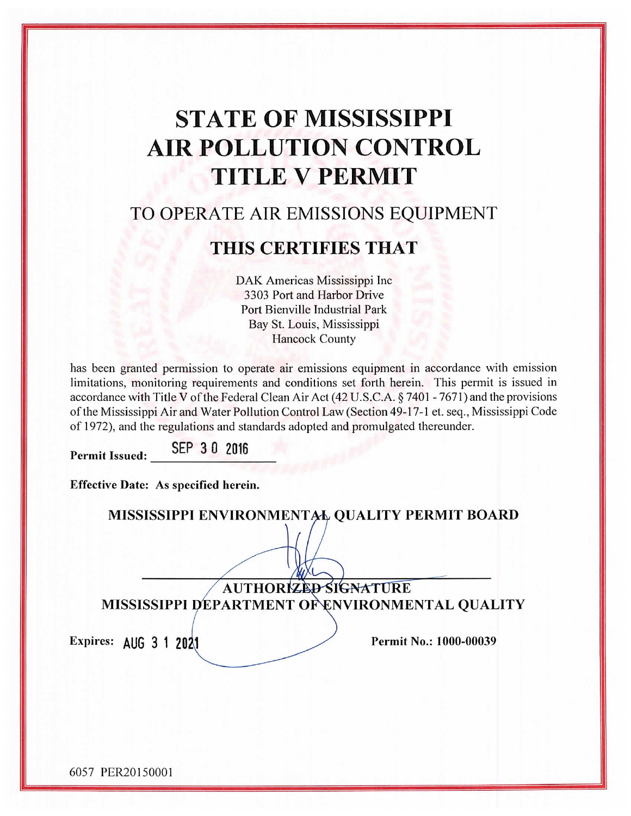# **STATE OF MISSISSIPPI AIR POLLUTION CONTROL TITLE V PERMIT**

# TO OPERATE AIR EMISSIONS EQUIPMENT

# THIS CERTIFIES THAT

DAK Americas Mississippi Inc 3303 Port and Harbor Drive Port Bienville Industrial Park Bay St. Louis, Mississippi Hancock County

has been granted permission to operate air emissions equipment in accordance with emission limitations, monitoring requirements and conditions set forth herein. This permit is issued in accordance with Title V of the Federal Clean Air Act (42 U.S.C.A. § 7401 - 7671) and the provisions of the Mississippi Air and Water Pollution Control Law (Section 49-17-1 et. seq., Mississippi Code of 1972), and the regulations and standards adopted and promulgated thereunder.

SEP 30 2016 **Permit Issued:** 

**Effective Date: As specified herein.** 

|                       | MISSISSIPPI ENVIRONMENTAL QUALITY PERMIT BOARD                          |
|-----------------------|-------------------------------------------------------------------------|
|                       | AUTHORIZED SIGNATURE<br>MISSISSIPPI DEPARTMENT OF ENVIRONMENTAL QUALITY |
| Expires: AUG 3 1 2021 | Permit No.: 1000-00039                                                  |
|                       |                                                                         |

6057 PER20150001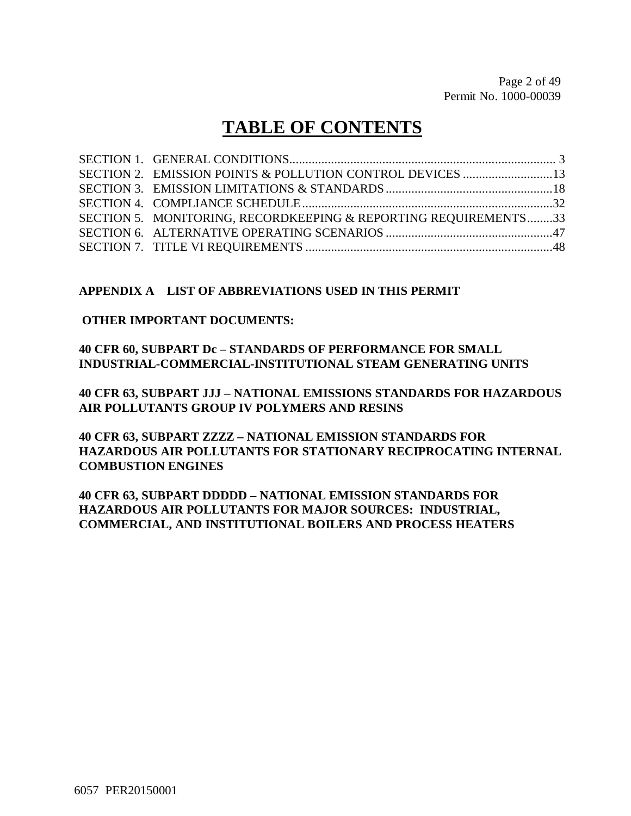# **TABLE OF CONTENTS**

| SECTION 5. MONITORING, RECORDKEEPING & REPORTING REQUIREMENTS33 |  |
|-----------------------------------------------------------------|--|
|                                                                 |  |
|                                                                 |  |

#### **APPENDIX A LIST OF ABBREVIATIONS USED IN THIS PERMIT**

#### **OTHER IMPORTANT DOCUMENTS:**

**40 CFR 60, SUBPART Dc – STANDARDS OF PERFORMANCE FOR SMALL INDUSTRIAL-COMMERCIAL-INSTITUTIONAL STEAM GENERATING UNITS**

**40 CFR 63, SUBPART JJJ – NATIONAL EMISSIONS STANDARDS FOR HAZARDOUS AIR POLLUTANTS GROUP IV POLYMERS AND RESINS**

**40 CFR 63, SUBPART ZZZZ – NATIONAL EMISSION STANDARDS FOR HAZARDOUS AIR POLLUTANTS FOR STATIONARY RECIPROCATING INTERNAL COMBUSTION ENGINES**

**40 CFR 63, SUBPART DDDDD – NATIONAL EMISSION STANDARDS FOR HAZARDOUS AIR POLLUTANTS FOR MAJOR SOURCES: INDUSTRIAL, COMMERCIAL, AND INSTITUTIONAL BOILERS AND PROCESS HEATERS**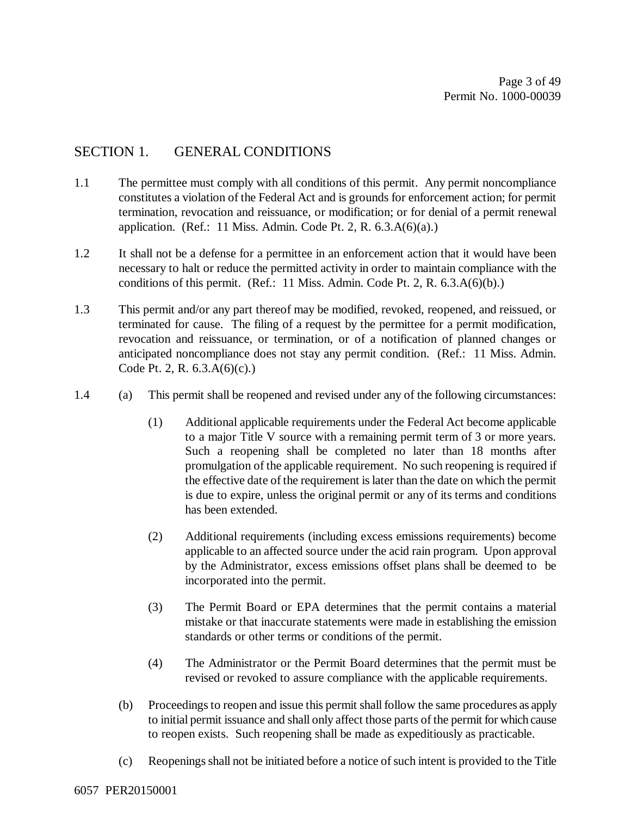#### SECTION 1. GENERAL CONDITIONS

- 1.1 The permittee must comply with all conditions of this permit. Any permit noncompliance constitutes a violation of the Federal Act and is grounds for enforcement action; for permit termination, revocation and reissuance, or modification; or for denial of a permit renewal application. (Ref.: 11 Miss. Admin. Code Pt. 2, R.  $6.3.A(6)(a)$ .)
- 1.2 It shall not be a defense for a permittee in an enforcement action that it would have been necessary to halt or reduce the permitted activity in order to maintain compliance with the conditions of this permit. (Ref.: 11 Miss. Admin. Code Pt. 2, R. 6.3.A(6)(b).)
- 1.3 This permit and/or any part thereof may be modified, revoked, reopened, and reissued, or terminated for cause. The filing of a request by the permittee for a permit modification, revocation and reissuance, or termination, or of a notification of planned changes or anticipated noncompliance does not stay any permit condition. (Ref.: 11 Miss. Admin. Code Pt. 2, R. 6.3.A(6)(c).)
- 1.4 (a) This permit shall be reopened and revised under any of the following circumstances:
	- (1) Additional applicable requirements under the Federal Act become applicable to a major Title V source with a remaining permit term of 3 or more years. Such a reopening shall be completed no later than 18 months after promulgation of the applicable requirement. No such reopening is required if the effective date of the requirement is later than the date on which the permit is due to expire, unless the original permit or any of its terms and conditions has been extended.
	- (2) Additional requirements (including excess emissions requirements) become applicable to an affected source under the acid rain program. Upon approval by the Administrator, excess emissions offset plans shall be deemed to be incorporated into the permit.
	- (3) The Permit Board or EPA determines that the permit contains a material mistake or that inaccurate statements were made in establishing the emission standards or other terms or conditions of the permit.
	- (4) The Administrator or the Permit Board determines that the permit must be revised or revoked to assure compliance with the applicable requirements.
	- (b) Proceedings to reopen and issue this permit shall follow the same procedures as apply to initial permit issuance and shall only affect those parts of the permit for which cause to reopen exists. Such reopening shall be made as expeditiously as practicable.
	- (c) Reopenings shall not be initiated before a notice of such intent is provided to the Title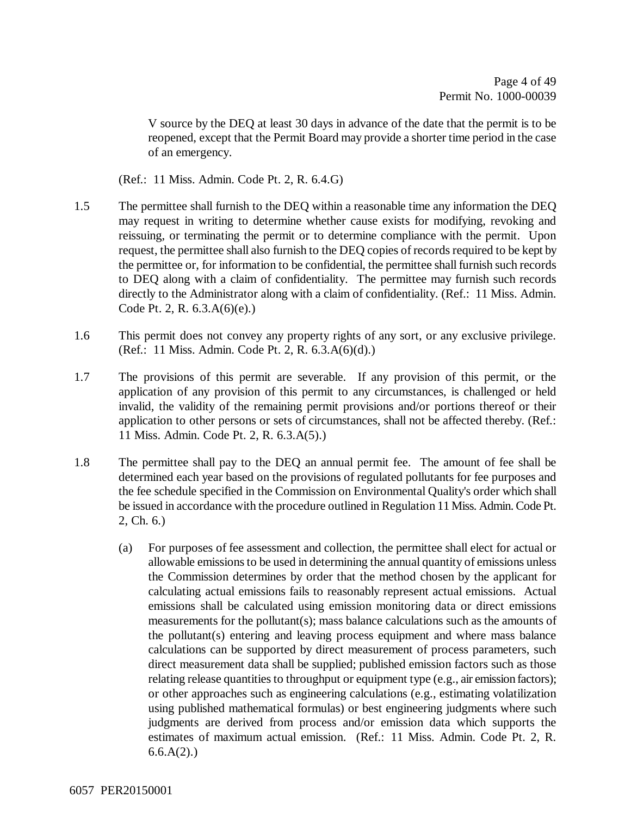V source by the DEQ at least 30 days in advance of the date that the permit is to be reopened, except that the Permit Board may provide a shorter time period in the case of an emergency.

(Ref.: 11 Miss. Admin. Code Pt. 2, R. 6.4.G)

- 1.5 The permittee shall furnish to the DEQ within a reasonable time any information the DEQ may request in writing to determine whether cause exists for modifying, revoking and reissuing, or terminating the permit or to determine compliance with the permit. Upon request, the permittee shall also furnish to the DEQ copies of records required to be kept by the permittee or, for information to be confidential, the permittee shall furnish such records to DEQ along with a claim of confidentiality. The permittee may furnish such records directly to the Administrator along with a claim of confidentiality. (Ref.: 11 Miss. Admin. Code Pt. 2, R. 6.3.A(6)(e).)
- 1.6 This permit does not convey any property rights of any sort, or any exclusive privilege. (Ref.: 11 Miss. Admin. Code Pt. 2, R. 6.3.A(6)(d).)
- 1.7 The provisions of this permit are severable. If any provision of this permit, or the application of any provision of this permit to any circumstances, is challenged or held invalid, the validity of the remaining permit provisions and/or portions thereof or their application to other persons or sets of circumstances, shall not be affected thereby. (Ref.: 11 Miss. Admin. Code Pt. 2, R. 6.3.A(5).)
- 1.8 The permittee shall pay to the DEQ an annual permit fee. The amount of fee shall be determined each year based on the provisions of regulated pollutants for fee purposes and the fee schedule specified in the Commission on Environmental Quality's order which shall be issued in accordance with the procedure outlined in Regulation 11 Miss. Admin. Code Pt. 2, Ch. 6.)
	- (a) For purposes of fee assessment and collection, the permittee shall elect for actual or allowable emissions to be used in determining the annual quantity of emissions unless the Commission determines by order that the method chosen by the applicant for calculating actual emissions fails to reasonably represent actual emissions. Actual emissions shall be calculated using emission monitoring data or direct emissions measurements for the pollutant(s); mass balance calculations such as the amounts of the pollutant(s) entering and leaving process equipment and where mass balance calculations can be supported by direct measurement of process parameters, such direct measurement data shall be supplied; published emission factors such as those relating release quantities to throughput or equipment type (e.g., air emission factors); or other approaches such as engineering calculations (e.g., estimating volatilization using published mathematical formulas) or best engineering judgments where such judgments are derived from process and/or emission data which supports the estimates of maximum actual emission. (Ref.: 11 Miss. Admin. Code Pt. 2, R.  $6.6.A(2)$ .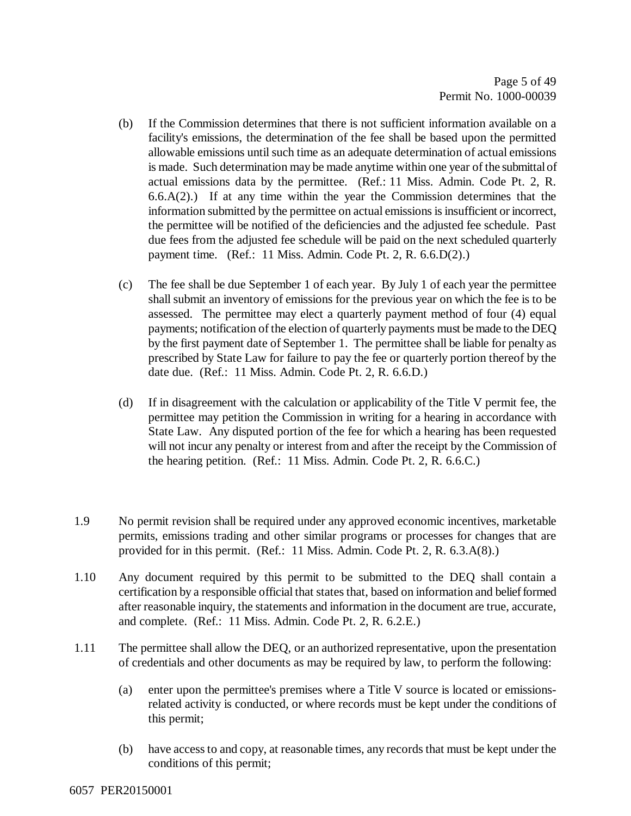- (b) If the Commission determines that there is not sufficient information available on a facility's emissions, the determination of the fee shall be based upon the permitted allowable emissions until such time as an adequate determination of actual emissions is made. Such determination may be made anytime within one year of the submittal of actual emissions data by the permittee. (Ref.: 11 Miss. Admin. Code Pt. 2, R.  $6.6(A(2))$  If at any time within the year the Commission determines that the information submitted by the permittee on actual emissions is insufficient or incorrect, the permittee will be notified of the deficiencies and the adjusted fee schedule. Past due fees from the adjusted fee schedule will be paid on the next scheduled quarterly payment time. (Ref.: 11 Miss. Admin. Code Pt. 2, R. 6.6.D(2).)
- (c) The fee shall be due September 1 of each year. By July 1 of each year the permittee shall submit an inventory of emissions for the previous year on which the fee is to be assessed. The permittee may elect a quarterly payment method of four (4) equal payments; notification of the election of quarterly payments must be made to the DEQ by the first payment date of September 1. The permittee shall be liable for penalty as prescribed by State Law for failure to pay the fee or quarterly portion thereof by the date due. (Ref.: 11 Miss. Admin. Code Pt. 2, R. 6.6.D.)
- (d) If in disagreement with the calculation or applicability of the Title V permit fee, the permittee may petition the Commission in writing for a hearing in accordance with State Law. Any disputed portion of the fee for which a hearing has been requested will not incur any penalty or interest from and after the receipt by the Commission of the hearing petition. (Ref.: 11 Miss. Admin. Code Pt. 2, R. 6.6.C.)
- 1.9 No permit revision shall be required under any approved economic incentives, marketable permits, emissions trading and other similar programs or processes for changes that are provided for in this permit. (Ref.: 11 Miss. Admin. Code Pt. 2, R. 6.3.A(8).)
- 1.10 Any document required by this permit to be submitted to the DEQ shall contain a certification by a responsible official that states that, based on information and belief formed after reasonable inquiry, the statements and information in the document are true, accurate, and complete. (Ref.: 11 Miss. Admin. Code Pt. 2, R. 6.2.E.)
- 1.11 The permittee shall allow the DEQ, or an authorized representative, upon the presentation of credentials and other documents as may be required by law, to perform the following:
	- (a) enter upon the permittee's premises where a Title V source is located or emissionsrelated activity is conducted, or where records must be kept under the conditions of this permit;
	- (b) have access to and copy, at reasonable times, any records that must be kept under the conditions of this permit;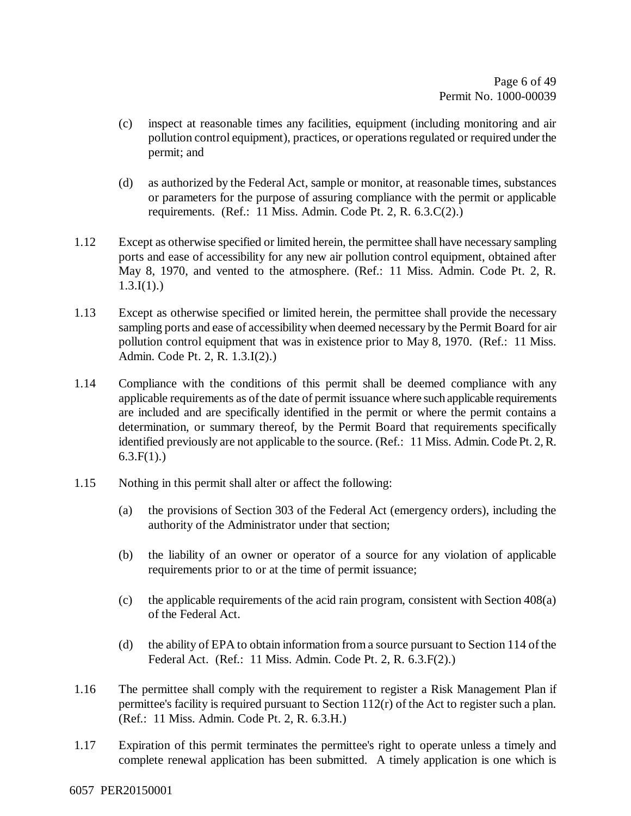- (c) inspect at reasonable times any facilities, equipment (including monitoring and air pollution control equipment), practices, or operations regulated or required under the permit; and
- (d) as authorized by the Federal Act, sample or monitor, at reasonable times, substances or parameters for the purpose of assuring compliance with the permit or applicable requirements. (Ref.: 11 Miss. Admin. Code Pt. 2, R. 6.3.C(2).)
- 1.12 Except as otherwise specified or limited herein, the permittee shall have necessary sampling ports and ease of accessibility for any new air pollution control equipment, obtained after May 8, 1970, and vented to the atmosphere. (Ref.: 11 Miss. Admin. Code Pt. 2, R.  $1.3.I(1).$
- 1.13 Except as otherwise specified or limited herein, the permittee shall provide the necessary sampling ports and ease of accessibility when deemed necessary by the Permit Board for air pollution control equipment that was in existence prior to May 8, 1970. (Ref.: 11 Miss. Admin. Code Pt. 2, R. 1.3.I(2).)
- 1.14 Compliance with the conditions of this permit shall be deemed compliance with any applicable requirements as of the date of permit issuance where such applicable requirements are included and are specifically identified in the permit or where the permit contains a determination, or summary thereof, by the Permit Board that requirements specifically identified previously are not applicable to the source. (Ref.: 11 Miss. Admin. Code Pt. 2, R.  $6.3.F(1)$ .)
- 1.15 Nothing in this permit shall alter or affect the following:
	- (a) the provisions of Section 303 of the Federal Act (emergency orders), including the authority of the Administrator under that section;
	- (b) the liability of an owner or operator of a source for any violation of applicable requirements prior to or at the time of permit issuance;
	- (c) the applicable requirements of the acid rain program, consistent with Section 408(a) of the Federal Act.
	- (d) the ability of EPA to obtain information from a source pursuant to Section 114 of the Federal Act. (Ref.: 11 Miss. Admin. Code Pt. 2, R. 6.3.F(2).)
- 1.16 The permittee shall comply with the requirement to register a Risk Management Plan if permittee's facility is required pursuant to Section 112(r) of the Act to register such a plan. (Ref.: 11 Miss. Admin. Code Pt. 2, R. 6.3.H.)
- 1.17 Expiration of this permit terminates the permittee's right to operate unless a timely and complete renewal application has been submitted. A timely application is one which is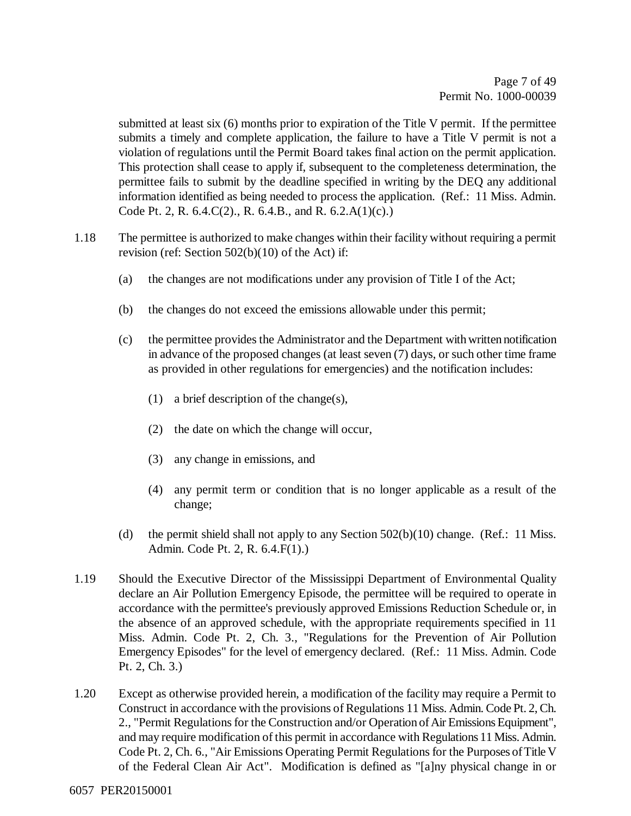submitted at least six (6) months prior to expiration of the Title V permit. If the permittee submits a timely and complete application, the failure to have a Title V permit is not a violation of regulations until the Permit Board takes final action on the permit application. This protection shall cease to apply if, subsequent to the completeness determination, the permittee fails to submit by the deadline specified in writing by the DEQ any additional information identified as being needed to process the application. (Ref.: 11 Miss. Admin. Code Pt. 2, R. 6.4.C(2)., R. 6.4.B., and R. 6.2.A(1)(c).)

- 1.18 The permittee is authorized to make changes within their facility without requiring a permit revision (ref: Section 502(b)(10) of the Act) if:
	- (a) the changes are not modifications under any provision of Title I of the Act;
	- (b) the changes do not exceed the emissions allowable under this permit;
	- (c) the permittee provides the Administrator and the Department with written notification in advance of the proposed changes (at least seven (7) days, or such other time frame as provided in other regulations for emergencies) and the notification includes:
		- (1) a brief description of the change(s),
		- (2) the date on which the change will occur,
		- (3) any change in emissions, and
		- (4) any permit term or condition that is no longer applicable as a result of the change;
	- (d) the permit shield shall not apply to any Section 502(b)(10) change. (Ref.: 11 Miss. Admin. Code Pt. 2, R. 6.4.F(1).)
- 1.19 Should the Executive Director of the Mississippi Department of Environmental Quality declare an Air Pollution Emergency Episode, the permittee will be required to operate in accordance with the permittee's previously approved Emissions Reduction Schedule or, in the absence of an approved schedule, with the appropriate requirements specified in 11 Miss. Admin. Code Pt. 2, Ch. 3., "Regulations for the Prevention of Air Pollution Emergency Episodes" for the level of emergency declared. (Ref.: 11 Miss. Admin. Code Pt. 2, Ch. 3.)
- 1.20 Except as otherwise provided herein, a modification of the facility may require a Permit to Construct in accordance with the provisions of Regulations 11 Miss. Admin. Code Pt. 2, Ch. 2., "Permit Regulations for the Construction and/or Operation of Air Emissions Equipment", and may require modification of this permit in accordance with Regulations 11 Miss. Admin. Code Pt. 2, Ch. 6., "Air Emissions Operating Permit Regulations for the Purposes of Title V of the Federal Clean Air Act". Modification is defined as "[a]ny physical change in or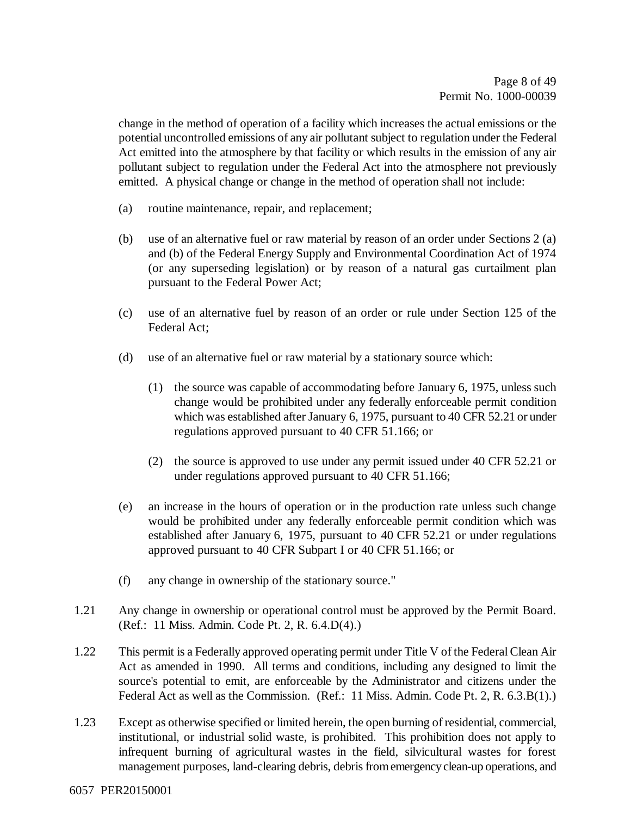change in the method of operation of a facility which increases the actual emissions or the potential uncontrolled emissions of any air pollutant subject to regulation under the Federal Act emitted into the atmosphere by that facility or which results in the emission of any air pollutant subject to regulation under the Federal Act into the atmosphere not previously emitted. A physical change or change in the method of operation shall not include:

- (a) routine maintenance, repair, and replacement;
- (b) use of an alternative fuel or raw material by reason of an order under Sections 2 (a) and (b) of the Federal Energy Supply and Environmental Coordination Act of 1974 (or any superseding legislation) or by reason of a natural gas curtailment plan pursuant to the Federal Power Act;
- (c) use of an alternative fuel by reason of an order or rule under Section 125 of the Federal Act;
- (d) use of an alternative fuel or raw material by a stationary source which:
	- (1) the source was capable of accommodating before January 6, 1975, unless such change would be prohibited under any federally enforceable permit condition which was established after January 6, 1975, pursuant to 40 CFR 52.21 or under regulations approved pursuant to 40 CFR 51.166; or
	- (2) the source is approved to use under any permit issued under 40 CFR 52.21 or under regulations approved pursuant to 40 CFR 51.166;
- (e) an increase in the hours of operation or in the production rate unless such change would be prohibited under any federally enforceable permit condition which was established after January 6, 1975, pursuant to 40 CFR 52.21 or under regulations approved pursuant to 40 CFR Subpart I or 40 CFR 51.166; or
- (f) any change in ownership of the stationary source."
- 1.21 Any change in ownership or operational control must be approved by the Permit Board. (Ref.: 11 Miss. Admin. Code Pt. 2, R. 6.4.D(4).)
- 1.22 This permit is a Federally approved operating permit under Title V of the Federal Clean Air Act as amended in 1990. All terms and conditions, including any designed to limit the source's potential to emit, are enforceable by the Administrator and citizens under the Federal Act as well as the Commission. (Ref.: 11 Miss. Admin. Code Pt. 2, R. 6.3.B(1).)
- 1.23 Except as otherwise specified or limited herein, the open burning of residential, commercial, institutional, or industrial solid waste, is prohibited. This prohibition does not apply to infrequent burning of agricultural wastes in the field, silvicultural wastes for forest management purposes, land-clearing debris, debris from emergency clean-up operations, and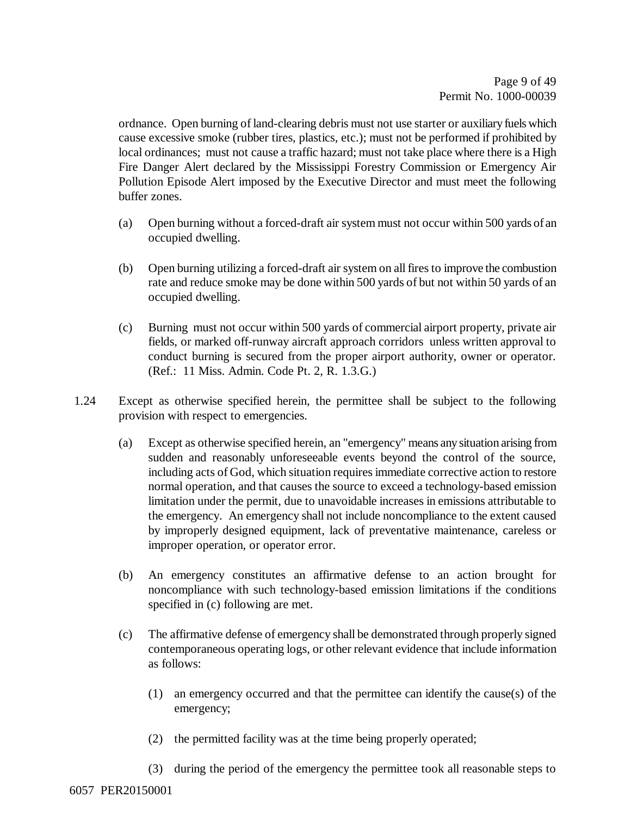ordnance. Open burning of land-clearing debris must not use starter or auxiliary fuels which cause excessive smoke (rubber tires, plastics, etc.); must not be performed if prohibited by local ordinances; must not cause a traffic hazard; must not take place where there is a High Fire Danger Alert declared by the Mississippi Forestry Commission or Emergency Air Pollution Episode Alert imposed by the Executive Director and must meet the following buffer zones.

- (a) Open burning without a forced-draft air system must not occur within 500 yards of an occupied dwelling.
- (b) Open burning utilizing a forced-draft air system on all fires to improve the combustion rate and reduce smoke may be done within 500 yards of but not within 50 yards of an occupied dwelling.
- (c) Burning must not occur within 500 yards of commercial airport property, private air fields, or marked off-runway aircraft approach corridors unless written approval to conduct burning is secured from the proper airport authority, owner or operator. (Ref.: 11 Miss. Admin. Code Pt. 2, R. 1.3.G.)
- 1.24 Except as otherwise specified herein, the permittee shall be subject to the following provision with respect to emergencies.
	- (a) Except as otherwise specified herein, an "emergency" means any situation arising from sudden and reasonably unforeseeable events beyond the control of the source, including acts of God, which situation requires immediate corrective action to restore normal operation, and that causes the source to exceed a technology-based emission limitation under the permit, due to unavoidable increases in emissions attributable to the emergency. An emergency shall not include noncompliance to the extent caused by improperly designed equipment, lack of preventative maintenance, careless or improper operation, or operator error.
	- (b) An emergency constitutes an affirmative defense to an action brought for noncompliance with such technology-based emission limitations if the conditions specified in (c) following are met.
	- (c) The affirmative defense of emergency shall be demonstrated through properly signed contemporaneous operating logs, or other relevant evidence that include information as follows:
		- (1) an emergency occurred and that the permittee can identify the cause(s) of the emergency;
		- (2) the permitted facility was at the time being properly operated;
		- (3) during the period of the emergency the permittee took all reasonable steps to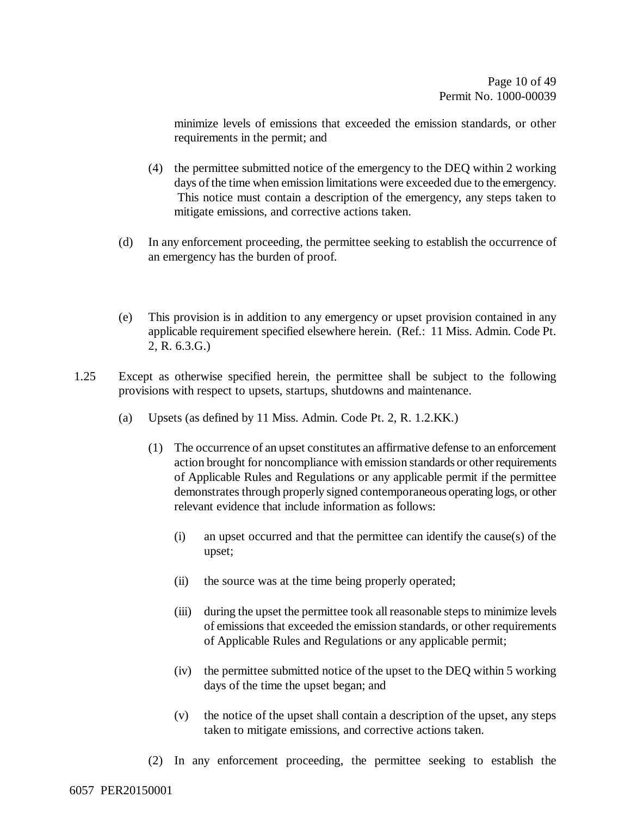minimize levels of emissions that exceeded the emission standards, or other requirements in the permit; and

- (4) the permittee submitted notice of the emergency to the DEQ within 2 working days of the time when emission limitations were exceeded due to the emergency. This notice must contain a description of the emergency, any steps taken to mitigate emissions, and corrective actions taken.
- (d) In any enforcement proceeding, the permittee seeking to establish the occurrence of an emergency has the burden of proof.
- (e) This provision is in addition to any emergency or upset provision contained in any applicable requirement specified elsewhere herein. (Ref.: 11 Miss. Admin. Code Pt. 2, R. 6.3.G.)
- 1.25 Except as otherwise specified herein, the permittee shall be subject to the following provisions with respect to upsets, startups, shutdowns and maintenance.
	- (a) Upsets (as defined by 11 Miss. Admin. Code Pt. 2, R. 1.2.KK.)
		- (1) The occurrence of an upset constitutes an affirmative defense to an enforcement action brought for noncompliance with emission standards or other requirements of Applicable Rules and Regulations or any applicable permit if the permittee demonstrates through properly signed contemporaneous operating logs, or other relevant evidence that include information as follows:
			- (i) an upset occurred and that the permittee can identify the cause(s) of the upset;
			- (ii) the source was at the time being properly operated;
			- (iii) during the upset the permittee took all reasonable steps to minimize levels of emissions that exceeded the emission standards, or other requirements of Applicable Rules and Regulations or any applicable permit;
			- (iv) the permittee submitted notice of the upset to the DEQ within 5 working days of the time the upset began; and
			- (v) the notice of the upset shall contain a description of the upset, any steps taken to mitigate emissions, and corrective actions taken.
		- (2) In any enforcement proceeding, the permittee seeking to establish the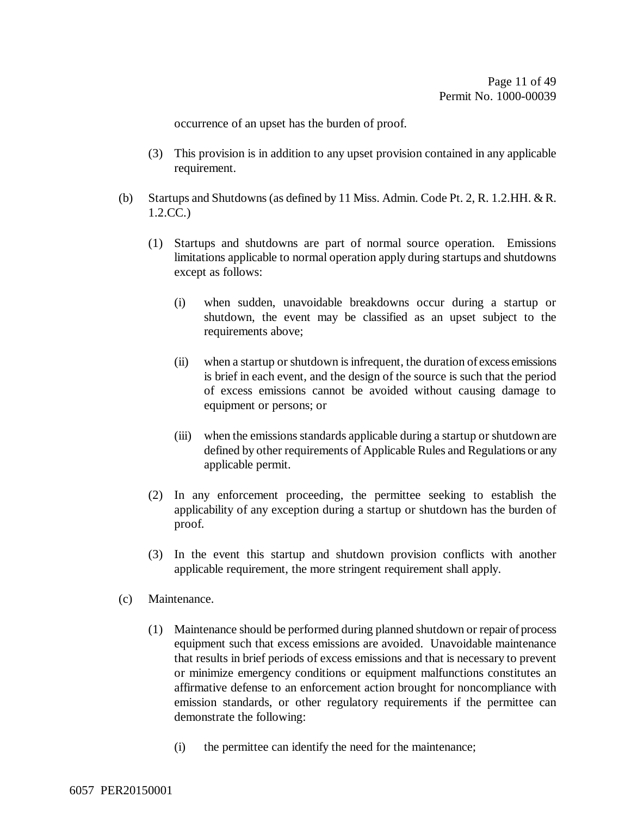occurrence of an upset has the burden of proof.

- (3) This provision is in addition to any upset provision contained in any applicable requirement.
- (b) Startups and Shutdowns (as defined by 11 Miss. Admin. Code Pt. 2, R. 1.2.HH. & R. 1.2.CC.)
	- (1) Startups and shutdowns are part of normal source operation. Emissions limitations applicable to normal operation apply during startups and shutdowns except as follows:
		- (i) when sudden, unavoidable breakdowns occur during a startup or shutdown, the event may be classified as an upset subject to the requirements above;
		- (ii) when a startup or shutdown is infrequent, the duration of excess emissions is brief in each event, and the design of the source is such that the period of excess emissions cannot be avoided without causing damage to equipment or persons; or
		- (iii) when the emissions standards applicable during a startup or shutdown are defined by other requirements of Applicable Rules and Regulations or any applicable permit.
	- (2) In any enforcement proceeding, the permittee seeking to establish the applicability of any exception during a startup or shutdown has the burden of proof.
	- (3) In the event this startup and shutdown provision conflicts with another applicable requirement, the more stringent requirement shall apply.
- (c) Maintenance.
	- (1) Maintenance should be performed during planned shutdown or repair of process equipment such that excess emissions are avoided. Unavoidable maintenance that results in brief periods of excess emissions and that is necessary to prevent or minimize emergency conditions or equipment malfunctions constitutes an affirmative defense to an enforcement action brought for noncompliance with emission standards, or other regulatory requirements if the permittee can demonstrate the following:
		- (i) the permittee can identify the need for the maintenance;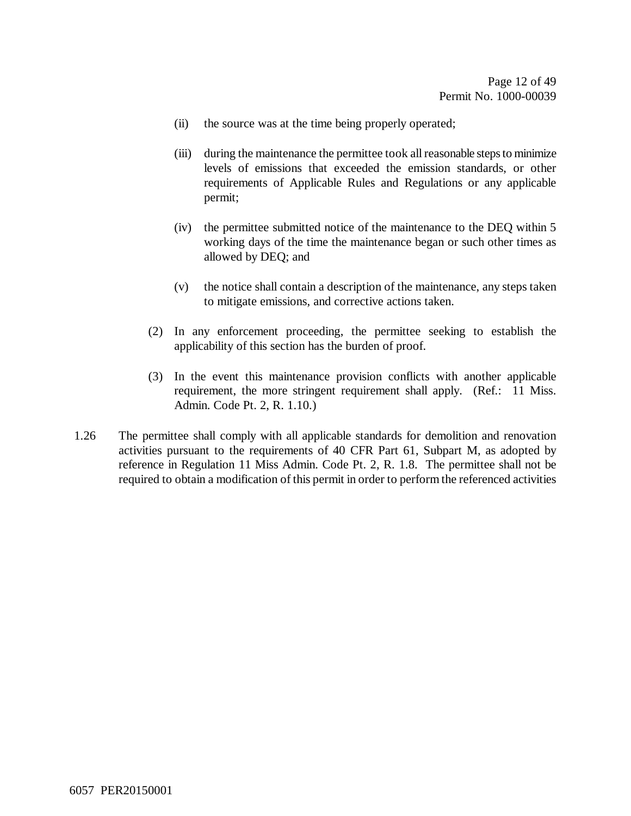- (ii) the source was at the time being properly operated;
- (iii) during the maintenance the permittee took all reasonable steps to minimize levels of emissions that exceeded the emission standards, or other requirements of Applicable Rules and Regulations or any applicable permit;
- (iv) the permittee submitted notice of the maintenance to the DEQ within 5 working days of the time the maintenance began or such other times as allowed by DEQ; and
- (v) the notice shall contain a description of the maintenance, any steps taken to mitigate emissions, and corrective actions taken.
- (2) In any enforcement proceeding, the permittee seeking to establish the applicability of this section has the burden of proof.
- (3) In the event this maintenance provision conflicts with another applicable requirement, the more stringent requirement shall apply. (Ref.: 11 Miss. Admin. Code Pt. 2, R. 1.10.)
- 1.26 The permittee shall comply with all applicable standards for demolition and renovation activities pursuant to the requirements of 40 CFR Part 61, Subpart M, as adopted by reference in Regulation 11 Miss Admin. Code Pt. 2, R. 1.8. The permittee shall not be required to obtain a modification of this permit in order to perform the referenced activities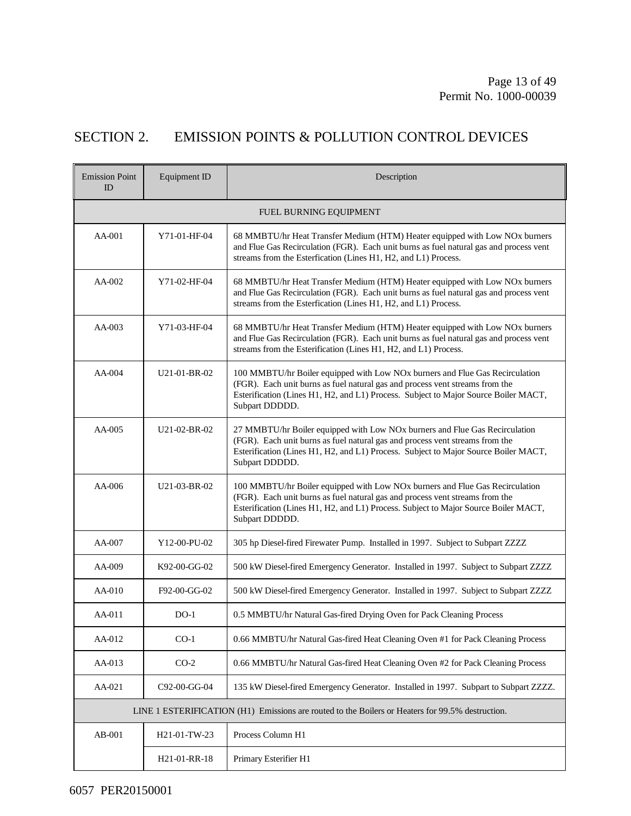## SECTION 2. EMISSION POINTS & POLLUTION CONTROL DEVICES

| <b>Emission Point</b><br>ID | Equipment ID           | Description                                                                                                                                                                                                                                                           |  |  |  |  |
|-----------------------------|------------------------|-----------------------------------------------------------------------------------------------------------------------------------------------------------------------------------------------------------------------------------------------------------------------|--|--|--|--|
|                             | FUEL BURNING EQUIPMENT |                                                                                                                                                                                                                                                                       |  |  |  |  |
| $AA-001$                    | Y71-01-HF-04           | 68 MMBTU/hr Heat Transfer Medium (HTM) Heater equipped with Low NOx burners<br>and Flue Gas Recirculation (FGR). Each unit burns as fuel natural gas and process vent<br>streams from the Esterfication (Lines H1, H2, and L1) Process.                               |  |  |  |  |
| AA-002                      | Y71-02-HF-04           | 68 MMBTU/hr Heat Transfer Medium (HTM) Heater equipped with Low NOx burners<br>and Flue Gas Recirculation (FGR). Each unit burns as fuel natural gas and process vent<br>streams from the Esterfication (Lines H1, H2, and L1) Process.                               |  |  |  |  |
| $AA-003$                    | Y71-03-HF-04           | 68 MMBTU/hr Heat Transfer Medium (HTM) Heater equipped with Low NOx burners<br>and Flue Gas Recirculation (FGR). Each unit burns as fuel natural gas and process vent<br>streams from the Esterification (Lines H1, H2, and L1) Process.                              |  |  |  |  |
| AA-004                      | U21-01-BR-02           | 100 MMBTU/hr Boiler equipped with Low NOx burners and Flue Gas Recirculation<br>(FGR). Each unit burns as fuel natural gas and process vent streams from the<br>Esterification (Lines H1, H2, and L1) Process. Subject to Major Source Boiler MACT,<br>Subpart DDDDD. |  |  |  |  |
| $AA-005$                    | U21-02-BR-02           | 27 MMBTU/hr Boiler equipped with Low NOx burners and Flue Gas Recirculation<br>(FGR). Each unit burns as fuel natural gas and process vent streams from the<br>Esterification (Lines H1, H2, and L1) Process. Subject to Major Source Boiler MACT,<br>Subpart DDDDD.  |  |  |  |  |
| $AA-006$                    | $U21-03-BR-02$         | 100 MMBTU/hr Boiler equipped with Low NOx burners and Flue Gas Recirculation<br>(FGR). Each unit burns as fuel natural gas and process vent streams from the<br>Esterification (Lines H1, H2, and L1) Process. Subject to Major Source Boiler MACT,<br>Subpart DDDDD. |  |  |  |  |
| AA-007                      | Y12-00-PU-02           | 305 hp Diesel-fired Firewater Pump. Installed in 1997. Subject to Subpart ZZZZ                                                                                                                                                                                        |  |  |  |  |
| $AA-009$                    | K92-00-GG-02           | 500 kW Diesel-fired Emergency Generator. Installed in 1997. Subject to Subpart ZZZZ                                                                                                                                                                                   |  |  |  |  |
| AA-010                      | F92-00-GG-02           | 500 kW Diesel-fired Emergency Generator. Installed in 1997. Subject to Subpart ZZZZ                                                                                                                                                                                   |  |  |  |  |
| $AA-011$                    | $DO-1$                 | 0.5 MMBTU/hr Natural Gas-fired Drying Oven for Pack Cleaning Process                                                                                                                                                                                                  |  |  |  |  |
| AA-012                      | $CO-1$                 | 0.66 MMBTU/hr Natural Gas-fired Heat Cleaning Oven #1 for Pack Cleaning Process                                                                                                                                                                                       |  |  |  |  |
| AA-013                      | $CO-2$                 | 0.66 MMBTU/hr Natural Gas-fired Heat Cleaning Oven #2 for Pack Cleaning Process                                                                                                                                                                                       |  |  |  |  |
| AA-021                      | C92-00-GG-04           | 135 kW Diesel-fired Emergency Generator. Installed in 1997. Subpart to Subpart ZZZZ.                                                                                                                                                                                  |  |  |  |  |
|                             |                        | LINE 1 ESTERIFICATION (H1) Emissions are routed to the Boilers or Heaters for 99.5% destruction.                                                                                                                                                                      |  |  |  |  |
| AB-001                      | H21-01-TW-23           | Process Column H1                                                                                                                                                                                                                                                     |  |  |  |  |
|                             | H21-01-RR-18           | Primary Esterifier H1                                                                                                                                                                                                                                                 |  |  |  |  |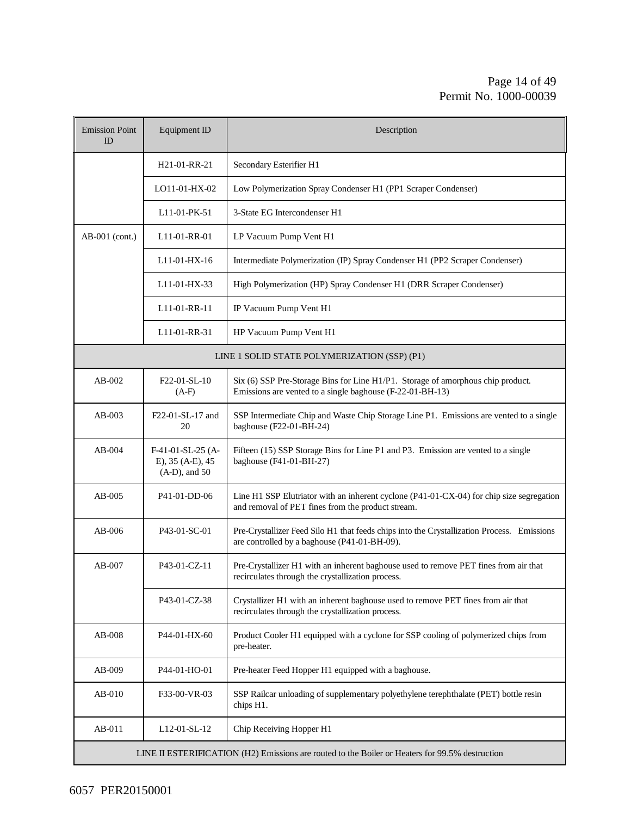#### Page 14 of 49 Permit No. 1000-00039

| <b>Emission Point</b><br>ID | Equipment ID                                                | Description                                                                                                                                   |  |  |  |
|-----------------------------|-------------------------------------------------------------|-----------------------------------------------------------------------------------------------------------------------------------------------|--|--|--|
|                             | H <sub>21</sub> -01-RR-21                                   | Secondary Esterifier H1                                                                                                                       |  |  |  |
|                             | LO11-01-HX-02                                               | Low Polymerization Spray Condenser H1 (PP1 Scraper Condenser)                                                                                 |  |  |  |
|                             | L11-01-PK-51                                                | 3-State EG Intercondenser H1                                                                                                                  |  |  |  |
| $AB-001$ (cont.)            | L <sub>11</sub> -01-RR-01                                   | LP Vacuum Pump Vent H1                                                                                                                        |  |  |  |
|                             | L11-01-HX-16                                                | Intermediate Polymerization (IP) Spray Condenser H1 (PP2 Scraper Condenser)                                                                   |  |  |  |
|                             | L <sub>11</sub> -01-HX-33                                   | High Polymerization (HP) Spray Condenser H1 (DRR Scraper Condenser)                                                                           |  |  |  |
|                             | L11-01-RR-11                                                | IP Vacuum Pump Vent H1                                                                                                                        |  |  |  |
|                             | L11-01-RR-31                                                | HP Vacuum Pump Vent H1                                                                                                                        |  |  |  |
|                             |                                                             | LINE 1 SOLID STATE POLYMERIZATION (SSP) (P1)                                                                                                  |  |  |  |
| $AB-002$                    | F22-01-SL-10<br>$(A-F)$                                     | Six (6) SSP Pre-Storage Bins for Line H1/P1. Storage of amorphous chip product.<br>Emissions are vented to a single baghouse (F-22-01-BH-13)  |  |  |  |
| AB-003                      | F22-01-SL-17 and<br>20                                      | SSP Intermediate Chip and Waste Chip Storage Line P1. Emissions are vented to a single<br>baghouse (F22-01-BH-24)                             |  |  |  |
| $AB-004$                    | $F-41-01-SL-25$ (A-<br>E), 35 (A-E), 45<br>$(A-D)$ , and 50 | Fifteen (15) SSP Storage Bins for Line P1 and P3. Emission are vented to a single<br>baghouse (F41-01-BH-27)                                  |  |  |  |
| AB-005                      | P41-01-DD-06                                                | Line H1 SSP Elutriator with an inherent cyclone (P41-01-CX-04) for chip size segregation<br>and removal of PET fines from the product stream. |  |  |  |
| $AB-006$                    | P <sub>43</sub> -01-SC-01                                   | Pre-Crystallizer Feed Silo H1 that feeds chips into the Crystallization Process. Emissions<br>are controlled by a baghouse (P41-01-BH-09).    |  |  |  |
| $AB-007$                    | P43-01-CZ-11                                                | Pre-Crystallizer H1 with an inherent baghouse used to remove PET fines from air that<br>recirculates through the crystallization process.     |  |  |  |
|                             | P43-01-CZ-38                                                | Crystallizer H1 with an inherent baghouse used to remove PET fines from air that<br>recirculates through the crystallization process.         |  |  |  |
| AB-008                      | P44-01-HX-60                                                | Product Cooler H1 equipped with a cyclone for SSP cooling of polymerized chips from<br>pre-heater.                                            |  |  |  |
| AB-009                      | P44-01-HO-01                                                | Pre-heater Feed Hopper H1 equipped with a baghouse.                                                                                           |  |  |  |
| $AB-010$                    | F33-00-VR-03                                                | SSP Railcar unloading of supplementary polyethylene terephthalate (PET) bottle resin<br>chips H1.                                             |  |  |  |
| AB-011                      | L12-01-SL-12                                                | Chip Receiving Hopper H1                                                                                                                      |  |  |  |
|                             |                                                             | LINE II ESTERIFICATION (H2) Emissions are routed to the Boiler or Heaters for 99.5% destruction                                               |  |  |  |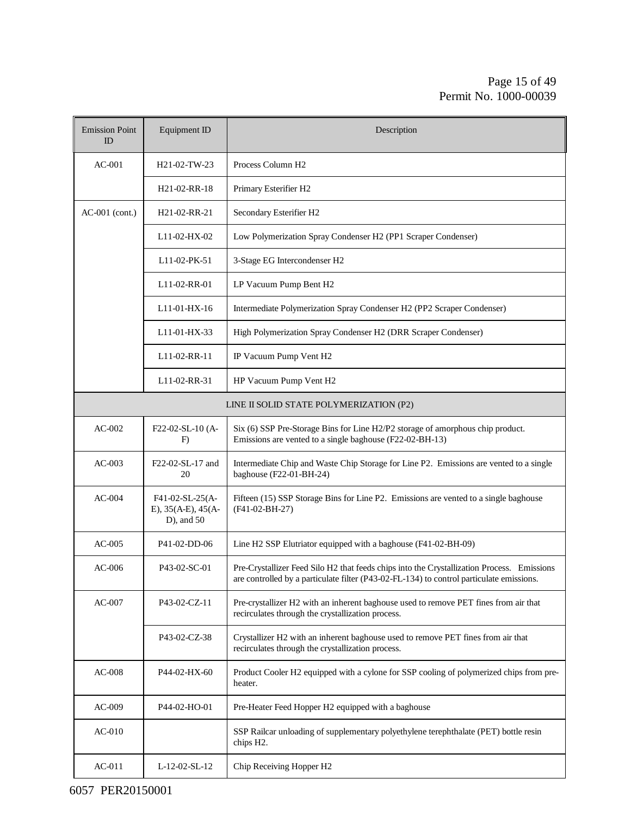#### Page 15 of 49 Permit No. 1000-00039

| <b>Emission Point</b><br>$_{\rm ID}$ | Equipment ID                                                  | Description                                                                                                                                                                            |
|--------------------------------------|---------------------------------------------------------------|----------------------------------------------------------------------------------------------------------------------------------------------------------------------------------------|
| $AC-001$                             | H21-02-TW-23                                                  | Process Column H <sub>2</sub>                                                                                                                                                          |
|                                      | H <sub>21</sub> -02-RR-18                                     | Primary Esterifier H2                                                                                                                                                                  |
| $AC-001$ (cont.)                     | H <sub>21</sub> -02-RR-21                                     | Secondary Esterifier H2                                                                                                                                                                |
|                                      | L11-02-HX-02                                                  | Low Polymerization Spray Condenser H2 (PP1 Scraper Condenser)                                                                                                                          |
|                                      | L11-02-PK-51                                                  | 3-Stage EG Intercondenser H2                                                                                                                                                           |
|                                      | L <sub>11</sub> -02-RR-01                                     | LP Vacuum Pump Bent H2                                                                                                                                                                 |
|                                      | L11-01-HX-16                                                  | Intermediate Polymerization Spray Condenser H2 (PP2 Scraper Condenser)                                                                                                                 |
|                                      | L11-01-HX-33                                                  | High Polymerization Spray Condenser H2 (DRR Scraper Condenser)                                                                                                                         |
|                                      | L11-02-RR-11                                                  | IP Vacuum Pump Vent H2                                                                                                                                                                 |
|                                      | L <sub>11</sub> -02-RR-31                                     | HP Vacuum Pump Vent H2                                                                                                                                                                 |
|                                      |                                                               | LINE II SOLID STATE POLYMERIZATION (P2)                                                                                                                                                |
| $AC-002$                             | F22-02-SL-10 (A-<br>F)                                        | Six (6) SSP Pre-Storage Bins for Line H2/P2 storage of amorphous chip product.<br>Emissions are vented to a single baghouse (F22-02-BH-13)                                             |
| $AC-003$                             | F22-02-SL-17 and<br>20                                        | Intermediate Chip and Waste Chip Storage for Line P2. Emissions are vented to a single<br>baghouse (F22-01-BH-24)                                                                      |
| $AC-004$                             | F41-02-SL-25(A-<br>E), $35(A-E)$ , $45(A-E)$<br>$D$ ), and 50 | Fifteen (15) SSP Storage Bins for Line P2. Emissions are vented to a single baghouse<br>$(F41-02-BH-27)$                                                                               |
| $AC-005$                             | P41-02-DD-06                                                  | Line H2 SSP Elutriator equipped with a baghouse (F41-02-BH-09)                                                                                                                         |
| $AC-006$                             | P43-02-SC-01                                                  | Pre-Crystallizer Feed Silo H2 that feeds chips into the Crystallization Process. Emissions<br>are controlled by a particulate filter (P43-02-FL-134) to control particulate emissions. |
| $AC-007$                             | P43-02-CZ-11                                                  | Pre-crystallizer H2 with an inherent baghouse used to remove PET fines from air that<br>recirculates through the crystallization process.                                              |
|                                      | P43-02-CZ-38                                                  | Crystallizer H2 with an inherent baghouse used to remove PET fines from air that<br>recirculates through the crystallization process.                                                  |
| $AC-008$                             | P44-02-HX-60                                                  | Product Cooler H2 equipped with a cylone for SSP cooling of polymerized chips from pre-<br>heater.                                                                                     |
| $AC-009$                             | P44-02-HO-01                                                  | Pre-Heater Feed Hopper H2 equipped with a baghouse                                                                                                                                     |
| $AC-010$                             |                                                               | SSP Railcar unloading of supplementary polyethylene terephthalate (PET) bottle resin<br>chips H <sub>2</sub> .                                                                         |
| $AC-011$                             | L-12-02-SL-12                                                 | Chip Receiving Hopper H2                                                                                                                                                               |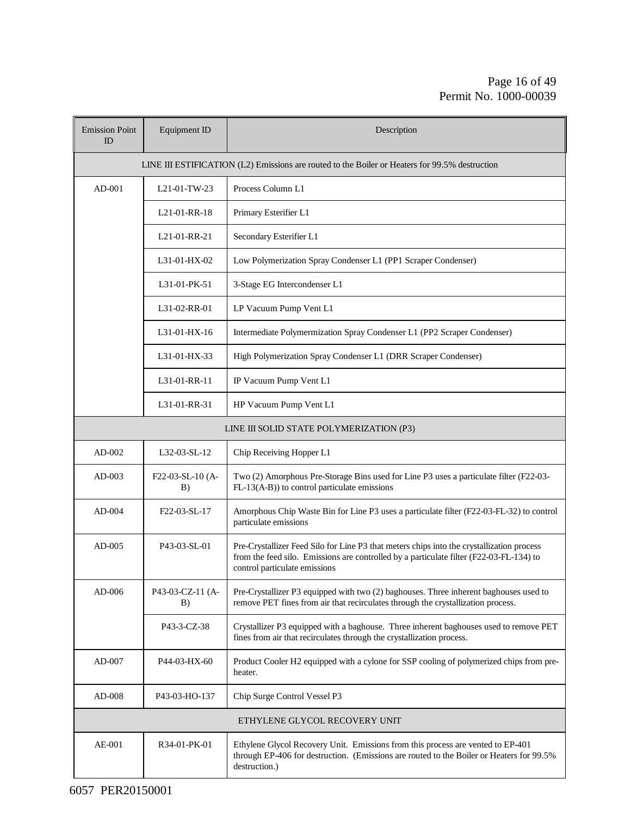#### Page 16 of 49 Permit No. 1000-00039

| <b>Emission Point</b><br>ID | Equipment ID                                                                                   | Description                                                                                                                                                                                                           |  |  |  |
|-----------------------------|------------------------------------------------------------------------------------------------|-----------------------------------------------------------------------------------------------------------------------------------------------------------------------------------------------------------------------|--|--|--|
|                             | LINE III ESTIFICATION (L2) Emissions are routed to the Boiler or Heaters for 99.5% destruction |                                                                                                                                                                                                                       |  |  |  |
| $AD-001$                    | L21-01-TW-23                                                                                   | Process Column L1                                                                                                                                                                                                     |  |  |  |
|                             | L21-01-RR-18                                                                                   | Primary Esterifier L1                                                                                                                                                                                                 |  |  |  |
|                             | L21-01-RR-21                                                                                   | Secondary Esterifier L1                                                                                                                                                                                               |  |  |  |
|                             | L31-01-HX-02                                                                                   | Low Polymerization Spray Condenser L1 (PP1 Scraper Condenser)                                                                                                                                                         |  |  |  |
|                             | L31-01-PK-51                                                                                   | 3-Stage EG Intercondenser L1                                                                                                                                                                                          |  |  |  |
|                             | L31-02-RR-01                                                                                   | LP Vacuum Pump Vent L1                                                                                                                                                                                                |  |  |  |
|                             | L31-01-HX-16                                                                                   | Intermediate Polymermization Spray Condenser L1 (PP2 Scraper Condenser)                                                                                                                                               |  |  |  |
|                             | L31-01-HX-33                                                                                   | High Polymerization Spray Condenser L1 (DRR Scraper Condenser)                                                                                                                                                        |  |  |  |
|                             | L31-01-RR-11                                                                                   | IP Vacuum Pump Vent L1                                                                                                                                                                                                |  |  |  |
|                             | L31-01-RR-31                                                                                   | HP Vacuum Pump Vent L1                                                                                                                                                                                                |  |  |  |
|                             |                                                                                                | LINE III SOLID STATE POLYMERIZATION (P3)                                                                                                                                                                              |  |  |  |
| $AD-002$                    | L32-03-SL-12                                                                                   | Chip Receiving Hopper L1                                                                                                                                                                                              |  |  |  |
| $AD-003$                    | F22-03-SL-10 (A-<br>B)                                                                         | Two (2) Amorphous Pre-Storage Bins used for Line P3 uses a particulate filter (F22-03-<br>FL-13(A-B)) to control particulate emissions                                                                                |  |  |  |
| $AD-004$                    | F22-03-SL-17                                                                                   | Amorphous Chip Waste Bin for Line P3 uses a particulate filter (F22-03-FL-32) to control<br>particulate emissions                                                                                                     |  |  |  |
| $AD-005$                    | P43-03-SL-01                                                                                   | Pre-Crystallizer Feed Silo for Line P3 that meters chips into the crystallization process<br>from the feed silo. Emissions are controlled by a particulate filter (F22-03-FL-134) to<br>control particulate emissions |  |  |  |
| $AD-006$                    | P43-03-CZ-11 (A-<br>B)                                                                         | Pre-Crystallizer P3 equipped with two (2) baghouses. Three inherent baghouses used to<br>remove PET fines from air that recirculates through the crystallization process.                                             |  |  |  |
|                             | P43-3-CZ-38                                                                                    | Crystallizer P3 equipped with a baghouse. Three inherent baghouses used to remove PET<br>fines from air that recirculates through the crystallization process.                                                        |  |  |  |
| $AD-007$                    | P44-03-HX-60                                                                                   | Product Cooler H2 equipped with a cylone for SSP cooling of polymerized chips from pre-<br>heater.                                                                                                                    |  |  |  |
| $AD-008$                    | P43-03-HO-137                                                                                  | Chip Surge Control Vessel P3                                                                                                                                                                                          |  |  |  |
|                             |                                                                                                | ETHYLENE GLYCOL RECOVERY UNIT                                                                                                                                                                                         |  |  |  |
| AE-001                      | R34-01-PK-01                                                                                   | Ethylene Glycol Recovery Unit. Emissions from this process are vented to EP-401<br>through EP-406 for destruction. (Emissions are routed to the Boiler or Heaters for 99.5%<br>destruction.)                          |  |  |  |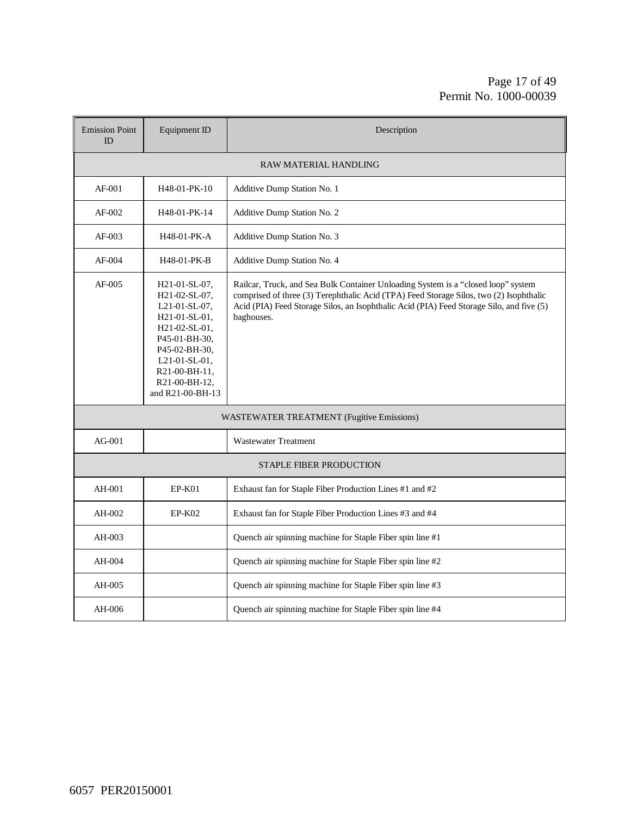#### Page 17 of 49 Permit No. 1000-00039

| <b>Emission Point</b><br>ID | Equipment ID                                                                                                                                                                                                     | Description                                                                                                                                                                                                                                                                           |  |  |  |
|-----------------------------|------------------------------------------------------------------------------------------------------------------------------------------------------------------------------------------------------------------|---------------------------------------------------------------------------------------------------------------------------------------------------------------------------------------------------------------------------------------------------------------------------------------|--|--|--|
|                             |                                                                                                                                                                                                                  | <b>RAW MATERIAL HANDLING</b>                                                                                                                                                                                                                                                          |  |  |  |
| $AF-001$                    | H48-01-PK-10                                                                                                                                                                                                     | Additive Dump Station No. 1                                                                                                                                                                                                                                                           |  |  |  |
| AF-002                      | H48-01-PK-14                                                                                                                                                                                                     | Additive Dump Station No. 2                                                                                                                                                                                                                                                           |  |  |  |
| $AF-003$                    | H48-01-PK-A                                                                                                                                                                                                      | Additive Dump Station No. 3                                                                                                                                                                                                                                                           |  |  |  |
| AF-004                      | H48-01-PK-B                                                                                                                                                                                                      | Additive Dump Station No. 4                                                                                                                                                                                                                                                           |  |  |  |
| AF-005                      | H <sub>21</sub> -01-SL-07,<br>H21-02-SL-07,<br>$L21-01-SL-07$ ,<br>H21-01-SL-01,<br>$H21-02-SL-01$ ,<br>P45-01-BH-30,<br>P45-02-BH-30,<br>$L21-01-SL-01$ ,<br>R21-00-BH-11,<br>R21-00-BH-12,<br>and R21-00-BH-13 | Railcar, Truck, and Sea Bulk Container Unloading System is a "closed loop" system<br>comprised of three (3) Terephthalic Acid (TPA) Feed Storage Silos, two (2) Isophthalic<br>Acid (PIA) Feed Storage Silos, an Isophthalic Acid (PIA) Feed Storage Silo, and five (5)<br>baghouses. |  |  |  |
|                             |                                                                                                                                                                                                                  | <b>WASTEWATER TREATMENT (Fugitive Emissions)</b>                                                                                                                                                                                                                                      |  |  |  |
| $AG-001$                    |                                                                                                                                                                                                                  | <b>Wastewater Treatment</b>                                                                                                                                                                                                                                                           |  |  |  |
|                             |                                                                                                                                                                                                                  | <b>STAPLE FIBER PRODUCTION</b>                                                                                                                                                                                                                                                        |  |  |  |
| AH-001                      | $EP-K01$                                                                                                                                                                                                         | Exhaust fan for Staple Fiber Production Lines #1 and #2                                                                                                                                                                                                                               |  |  |  |
| AH-002                      | $EP-K02$                                                                                                                                                                                                         | Exhaust fan for Staple Fiber Production Lines #3 and #4                                                                                                                                                                                                                               |  |  |  |
| AH-003                      |                                                                                                                                                                                                                  | Quench air spinning machine for Staple Fiber spin line #1                                                                                                                                                                                                                             |  |  |  |
| AH-004                      |                                                                                                                                                                                                                  | Quench air spinning machine for Staple Fiber spin line #2                                                                                                                                                                                                                             |  |  |  |
| AH-005                      |                                                                                                                                                                                                                  | Quench air spinning machine for Staple Fiber spin line #3                                                                                                                                                                                                                             |  |  |  |
| AH-006                      |                                                                                                                                                                                                                  | Quench air spinning machine for Staple Fiber spin line #4                                                                                                                                                                                                                             |  |  |  |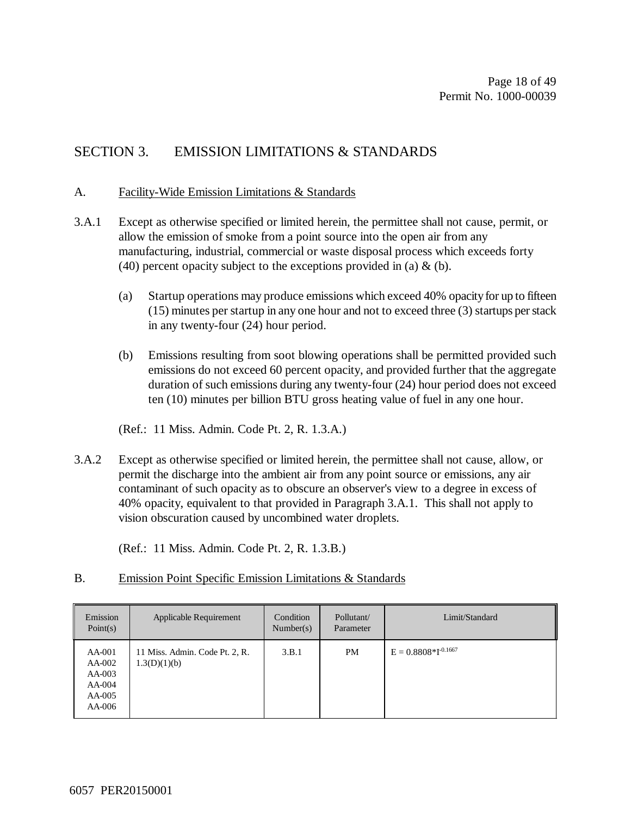### SECTION 3. EMISSION LIMITATIONS & STANDARDS

#### A. Facility-Wide Emission Limitations & Standards

- 3.A.1 Except as otherwise specified or limited herein, the permittee shall not cause, permit, or allow the emission of smoke from a point source into the open air from any manufacturing, industrial, commercial or waste disposal process which exceeds forty (40) percent opacity subject to the exceptions provided in (a)  $\&$  (b).
	- (a) Startup operations may produce emissions which exceed 40% opacity for up to fifteen (15) minutes per startup in any one hour and not to exceed three (3) startups per stack in any twenty-four (24) hour period.
	- (b) Emissions resulting from soot blowing operations shall be permitted provided such emissions do not exceed 60 percent opacity, and provided further that the aggregate duration of such emissions during any twenty-four (24) hour period does not exceed ten (10) minutes per billion BTU gross heating value of fuel in any one hour.

(Ref.: 11 Miss. Admin. Code Pt. 2, R. 1.3.A.)

3.A.2 Except as otherwise specified or limited herein, the permittee shall not cause, allow, or permit the discharge into the ambient air from any point source or emissions, any air contaminant of such opacity as to obscure an observer's view to a degree in excess of 40% opacity, equivalent to that provided in Paragraph 3.A.1. This shall not apply to vision obscuration caused by uncombined water droplets.

(Ref.: 11 Miss. Admin. Code Pt. 2, R. 1.3.B.)

#### B. Emission Point Specific Emission Limitations & Standards

| Emission<br>Point $(s)$                                      | Applicable Requirement                         | Condition<br>Number(s) | Pollutant/<br>Parameter | Limit/Standard             |
|--------------------------------------------------------------|------------------------------------------------|------------------------|-------------------------|----------------------------|
| AA-001<br>AA-002<br>$AA-003$<br>AA-004<br>$AA-005$<br>AA-006 | 11 Miss. Admin. Code Pt. 2, R.<br>1.3(D)(1)(b) | 3.B.1                  | PM                      | $E = 0.8808 * I^{-0.1667}$ |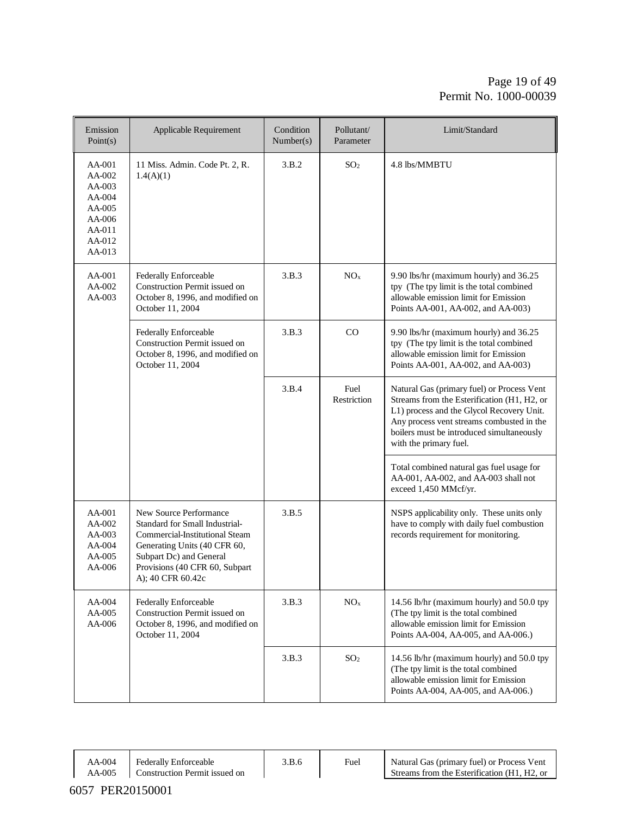#### Page 19 of 49 Permit No. 1000-00039

| Emission<br>Point(s)                                                                     | Applicable Requirement                                                                                                                                                                                       | Condition<br>Number(s) | Pollutant/<br>Parameter | Limit/Standard                                                                                                                                                                                                                                             |
|------------------------------------------------------------------------------------------|--------------------------------------------------------------------------------------------------------------------------------------------------------------------------------------------------------------|------------------------|-------------------------|------------------------------------------------------------------------------------------------------------------------------------------------------------------------------------------------------------------------------------------------------------|
| AA-001<br>AA-002<br>$AA-003$<br>AA-004<br>AA-005<br>AA-006<br>AA-011<br>AA-012<br>AA-013 | 11 Miss. Admin. Code Pt. 2, R.<br>1.4(A)(1)                                                                                                                                                                  | 3.B.2                  | SO <sub>2</sub>         | 4.8 lbs/MMBTU                                                                                                                                                                                                                                              |
| AA-001<br>AA-002<br>AA-003                                                               | Federally Enforceable<br><b>Construction Permit issued on</b><br>October 8, 1996, and modified on<br>October 11, 2004                                                                                        | 3.B.3                  | NO <sub>x</sub>         | 9.90 lbs/hr (maximum hourly) and 36.25<br>tpy (The tpy limit is the total combined<br>allowable emission limit for Emission<br>Points AA-001, AA-002, and AA-003)                                                                                          |
|                                                                                          | Federally Enforceable<br>Construction Permit issued on<br>October 8, 1996, and modified on<br>October 11, 2004                                                                                               | 3.B.3                  | CO                      | 9.90 lbs/hr (maximum hourly) and 36.25<br>tpy (The tpy limit is the total combined<br>allowable emission limit for Emission<br>Points AA-001, AA-002, and AA-003)                                                                                          |
|                                                                                          |                                                                                                                                                                                                              | 3.B.4                  | Fuel<br>Restriction     | Natural Gas (primary fuel) or Process Vent<br>Streams from the Esterification (H1, H2, or<br>L1) process and the Glycol Recovery Unit.<br>Any process vent streams combusted in the<br>boilers must be introduced simultaneously<br>with the primary fuel. |
|                                                                                          |                                                                                                                                                                                                              |                        |                         | Total combined natural gas fuel usage for<br>AA-001, AA-002, and AA-003 shall not<br>exceed 1,450 MMcf/yr.                                                                                                                                                 |
| $AA-001$<br>AA-002<br>$AA-003$<br>AA-004<br>AA-005<br>AA-006                             | New Source Performance<br>Standard for Small Industrial-<br>Commercial-Institutional Steam<br>Generating Units (40 CFR 60,<br>Subpart Dc) and General<br>Provisions (40 CFR 60, Subpart<br>A); 40 CFR 60.42c | 3.B.5                  |                         | NSPS applicability only. These units only<br>have to comply with daily fuel combustion<br>records requirement for monitoring.                                                                                                                              |
| AA-004<br>AA-005<br>AA-006                                                               | Federally Enforceable<br>Construction Permit issued on<br>October 8, 1996, and modified on<br>October 11, 2004                                                                                               | 3.B.3                  | $\rm NO_x$              | 14.56 lb/hr (maximum hourly) and 50.0 tpy<br>(The tpy limit is the total combined<br>allowable emission limit for Emission<br>Points AA-004, AA-005, and AA-006.)                                                                                          |
|                                                                                          |                                                                                                                                                                                                              | 3.B.3                  | SO <sub>2</sub>         | 14.56 lb/hr (maximum hourly) and 50.0 tpy<br>(The tpy limit is the total combined<br>allowable emission limit for Emission<br>Points AA-004, AA-005, and AA-006.)                                                                                          |

AA-004 AA-005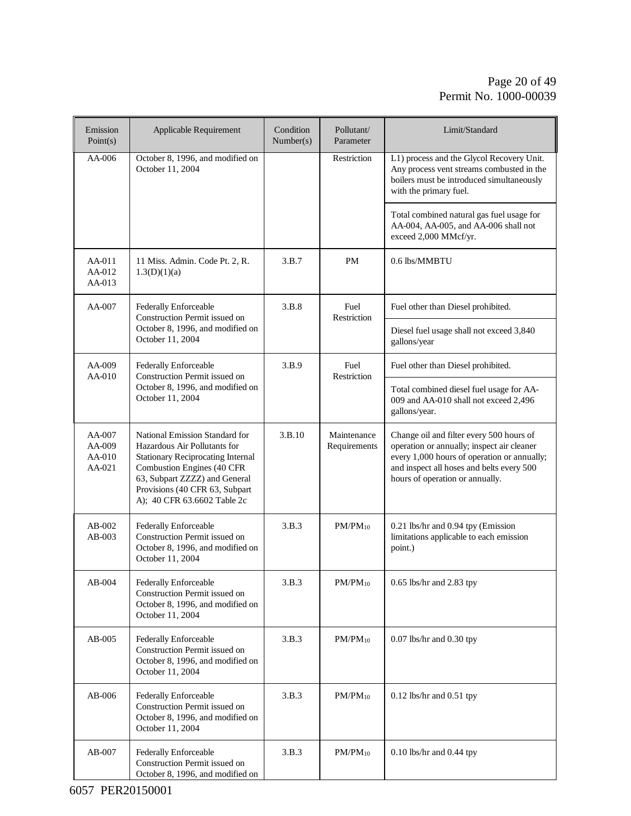#### Page 20 of 49 Permit No. 1000-00039

| Emission<br>Point(s)                       | Applicable Requirement                                                                                                                                                                                                                     | Condition<br>Number(s) | Pollutant/<br>Parameter     | Limit/Standard                                                                                                                                                                                                        |
|--------------------------------------------|--------------------------------------------------------------------------------------------------------------------------------------------------------------------------------------------------------------------------------------------|------------------------|-----------------------------|-----------------------------------------------------------------------------------------------------------------------------------------------------------------------------------------------------------------------|
| $AA-006$                                   | October 8, 1996, and modified on<br>October 11, 2004                                                                                                                                                                                       |                        | Restriction                 | L1) process and the Glycol Recovery Unit.<br>Any process vent streams combusted in the<br>boilers must be introduced simultaneously<br>with the primary fuel.                                                         |
|                                            |                                                                                                                                                                                                                                            |                        |                             | Total combined natural gas fuel usage for<br>AA-004, AA-005, and AA-006 shall not<br>exceed 2,000 MMcf/yr.                                                                                                            |
| AA-011<br>$AA-012$<br>$AA-013$             | 11 Miss. Admin. Code Pt. 2, R.<br>1.3(D)(1)(a)                                                                                                                                                                                             | 3.B.7                  | <b>PM</b>                   | 0.6 lbs/MMBTU                                                                                                                                                                                                         |
| $AA-007$                                   | <b>Federally Enforceable</b><br>Construction Permit issued on                                                                                                                                                                              | 3.B.8                  | Fuel<br>Restriction         | Fuel other than Diesel prohibited.                                                                                                                                                                                    |
|                                            | October 8, 1996, and modified on<br>October 11, 2004                                                                                                                                                                                       |                        | gallons/year                | Diesel fuel usage shall not exceed 3,840                                                                                                                                                                              |
| AA-009<br>$AA-010$                         | Federally Enforceable<br>Construction Permit issued on                                                                                                                                                                                     | 3.B.9                  | Fuel<br>Restriction         | Fuel other than Diesel prohibited.                                                                                                                                                                                    |
|                                            | October 8, 1996, and modified on<br>October 11, 2004                                                                                                                                                                                       |                        | gallons/year.               | Total combined diesel fuel usage for AA-<br>009 and AA-010 shall not exceed 2,496                                                                                                                                     |
| $AA-007$<br>$AA-009$<br>AA-010<br>$AA-021$ | National Emission Standard for<br>Hazardous Air Pollutants for<br><b>Stationary Reciprocating Internal</b><br>Combustion Engines (40 CFR<br>63, Subpart ZZZZ) and General<br>Provisions (40 CFR 63, Subpart<br>A); 40 CFR 63.6602 Table 2c | 3.B.10                 | Maintenance<br>Requirements | Change oil and filter every 500 hours of<br>operation or annually; inspect air cleaner<br>every 1,000 hours of operation or annually;<br>and inspect all hoses and belts every 500<br>hours of operation or annually. |
| $AB-002$<br>$AB-003$                       | Federally Enforceable<br>Construction Permit issued on<br>October 8, 1996, and modified on<br>October 11, 2004                                                                                                                             | 3.B.3                  | $PM/PM_{10}$                | 0.21 lbs/hr and 0.94 tpy (Emission<br>limitations applicable to each emission<br>point.)                                                                                                                              |
| $AB-004$                                   | Federally Enforceable<br>Construction Permit issued on<br>October 8, 1996, and modified on<br>October 11, 2004                                                                                                                             | 3.B.3                  | $PM/PM_{10}$                | $0.65$ lbs/hr and $2.83$ tpy                                                                                                                                                                                          |
| $AB-005$                                   | Federally Enforceable<br>Construction Permit issued on<br>October 8, 1996, and modified on<br>October 11, 2004                                                                                                                             | 3.B.3                  | $PM/PM_{10}$                | $0.07$ lbs/hr and $0.30$ tpy                                                                                                                                                                                          |
| $AB-006$                                   | Federally Enforceable<br>Construction Permit issued on<br>October 8, 1996, and modified on<br>October 11, 2004                                                                                                                             | 3.B.3                  | $PM/PM_{10}$                | $0.12$ lbs/hr and $0.51$ tpy                                                                                                                                                                                          |
| $AB-007$                                   | Federally Enforceable<br>Construction Permit issued on<br>October 8, 1996, and modified on                                                                                                                                                 | 3.B.3                  | $PM/PM_{10}$                | $0.10$ lbs/hr and $0.44$ tpy                                                                                                                                                                                          |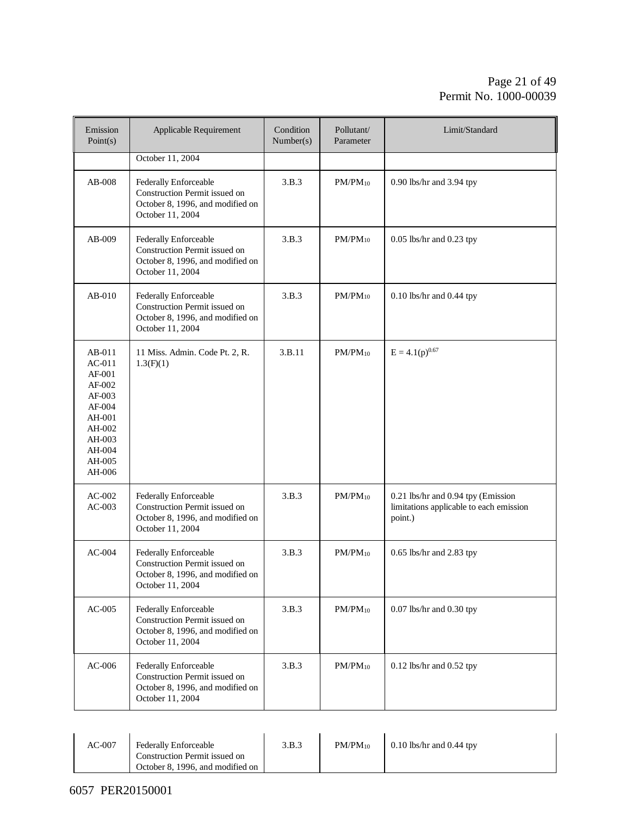#### Page 21 of 49 Permit No. 1000-00039

| Emission<br>Point(s)                                                                                                             | Applicable Requirement                                                                                         | Condition<br>Number(s) | Pollutant/<br>Parameter | Limit/Standard                                                                           |
|----------------------------------------------------------------------------------------------------------------------------------|----------------------------------------------------------------------------------------------------------------|------------------------|-------------------------|------------------------------------------------------------------------------------------|
|                                                                                                                                  | October 11, 2004                                                                                               |                        |                         |                                                                                          |
| AB-008                                                                                                                           | Federally Enforceable<br>Construction Permit issued on<br>October 8, 1996, and modified on<br>October 11, 2004 | 3.B.3                  | $PM/PM_{10}$            | 0.90 lbs/hr and 3.94 tpy                                                                 |
| $AB-009$                                                                                                                         | Federally Enforceable<br>Construction Permit issued on<br>October 8, 1996, and modified on<br>October 11, 2004 | 3.B.3                  | $PM/PM_{10}$            | 0.05 lbs/hr and 0.23 tpy                                                                 |
| $AB-010$                                                                                                                         | Federally Enforceable<br>Construction Permit issued on<br>October 8, 1996, and modified on<br>October 11, 2004 | 3.B.3                  | $PM/PM_{10}$            | 0.10 lbs/hr and 0.44 tpy                                                                 |
| $AB-011$<br>$AC-011$<br>$AF-001$<br>$AF-002$<br>$AF-003$<br>$AF-004$<br>AH-001<br>AH-002<br>AH-003<br>AH-004<br>AH-005<br>AH-006 | 11 Miss. Admin. Code Pt. 2, R.<br>1.3(F)(1)                                                                    | 3.B.11                 | $PM/PM_{10}$            | $E = 4.1(p)^{0.67}$                                                                      |
| $AC-002$<br>$AC-003$                                                                                                             | Federally Enforceable<br>Construction Permit issued on<br>October 8, 1996, and modified on<br>October 11, 2004 | 3.B.3                  | $PM/PM_{10}$            | 0.21 lbs/hr and 0.94 tpy (Emission<br>limitations applicable to each emission<br>point.) |
| $AC-004$                                                                                                                         | Federally Enforceable<br>Construction Permit issued on<br>October 8, 1996, and modified on<br>October 11, 2004 | 3.B.3                  | $PM/PM_{10}$            | $0.65$ lbs/hr and $2.83$ tpy                                                             |
| $AC-005$                                                                                                                         | Federally Enforceable<br>Construction Permit issued on<br>October 8, 1996, and modified on<br>October 11, 2004 | 3.B.3                  | $PM/PM_{10}$            | 0.07 lbs/hr and 0.30 tpy                                                                 |
| $AC-006$                                                                                                                         | Federally Enforceable<br>Construction Permit issued on<br>October 8, 1996, and modified on<br>October 11, 2004 | 3.B.3                  | $PM/PM_{10}$            | $0.12$ lbs/hr and $0.52$ tpy                                                             |

| $AC-007$ | Federally Enforceable<br>Construction Permit issued on<br>October 8, 1996, and modified on | 3.B.3 | $PM/PM_{10}$ | $0.10$ lbs/hr and $0.44$ tpy |  |
|----------|--------------------------------------------------------------------------------------------|-------|--------------|------------------------------|--|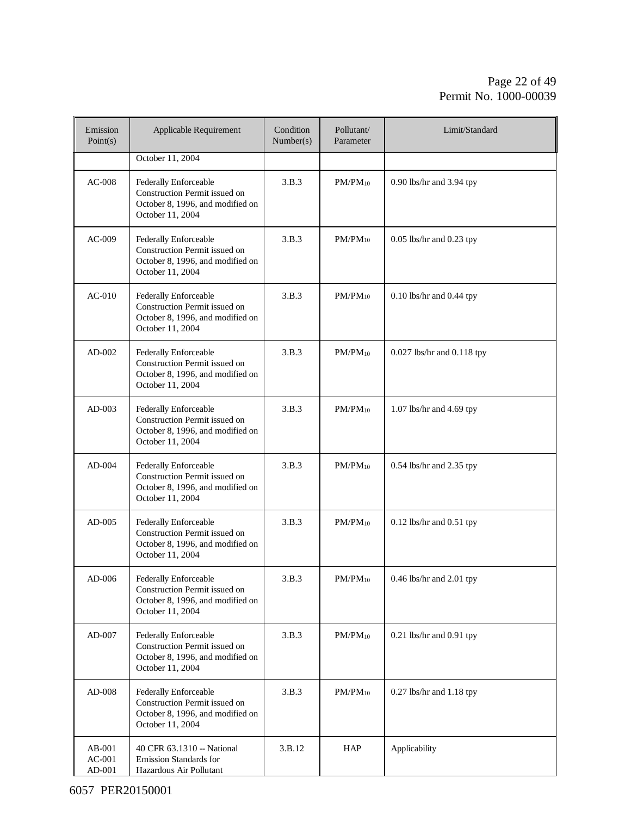#### Page 22 of 49 Permit No. 1000-00039

| Emission<br>Point(s)           | Applicable Requirement                                                                                         | Condition<br>Number(s) | Pollutant/<br>Parameter | Limit/Standard                 |
|--------------------------------|----------------------------------------------------------------------------------------------------------------|------------------------|-------------------------|--------------------------------|
|                                | October 11, 2004                                                                                               |                        |                         |                                |
| $AC-008$                       | Federally Enforceable<br>Construction Permit issued on<br>October 8, 1996, and modified on<br>October 11, 2004 | 3.B.3                  | $PM/PM_{10}$            | 0.90 lbs/hr and 3.94 tpy       |
| $AC-009$                       | Federally Enforceable<br>Construction Permit issued on<br>October 8, 1996, and modified on<br>October 11, 2004 | 3.B.3                  | $PM/PM_{10}$            | $0.05$ lbs/hr and $0.23$ tpy   |
| $AC-010$                       | Federally Enforceable<br>Construction Permit issued on<br>October 8, 1996, and modified on<br>October 11, 2004 | 3.B.3                  | $PM/PM_{10}$            | $0.10$ lbs/hr and $0.44$ tpy   |
| $AD-002$                       | Federally Enforceable<br>Construction Permit issued on<br>October 8, 1996, and modified on<br>October 11, 2004 | 3.B.3                  | $PM/PM_{10}$            | $0.027$ lbs/hr and $0.118$ tpy |
| AD-003                         | Federally Enforceable<br>Construction Permit issued on<br>October 8, 1996, and modified on<br>October 11, 2004 | 3.B.3                  | $PM/PM_{10}$            | $1.07$ lbs/hr and $4.69$ tpy   |
| $AD-004$                       | Federally Enforceable<br>Construction Permit issued on<br>October 8, 1996, and modified on<br>October 11, 2004 | 3.B.3                  | $PM/PM_{10}$            | 0.54 lbs/hr and 2.35 tpy       |
| AD-005                         | Federally Enforceable<br>Construction Permit issued on<br>October 8, 1996, and modified on<br>October 11, 2004 | 3.B.3                  | $PM/PM_{10}$            | $0.12$ lbs/hr and $0.51$ tpy   |
| $AD-006$                       | Federally Enforceable<br>Construction Permit issued on<br>October 8, 1996, and modified on<br>October 11, 2004 | 3.B.3                  | $PM/PM_{10}$            | 0.46 lbs/hr and 2.01 tpy       |
| $AD-007$                       | Federally Enforceable<br>Construction Permit issued on<br>October 8, 1996, and modified on<br>October 11, 2004 | 3.B.3                  | $PM/PM_{10}$            | $0.21$ lbs/hr and $0.91$ tpy   |
| AD-008                         | Federally Enforceable<br>Construction Permit issued on<br>October 8, 1996, and modified on<br>October 11, 2004 | 3.B.3                  | $PM/PM_{10}$            | $0.27$ lbs/hr and $1.18$ tpy   |
| AB-001<br>$AC-001$<br>$AD-001$ | 40 CFR 63.1310 -- National<br>Emission Standards for<br>Hazardous Air Pollutant                                | 3.B.12                 | <b>HAP</b>              | Applicability                  |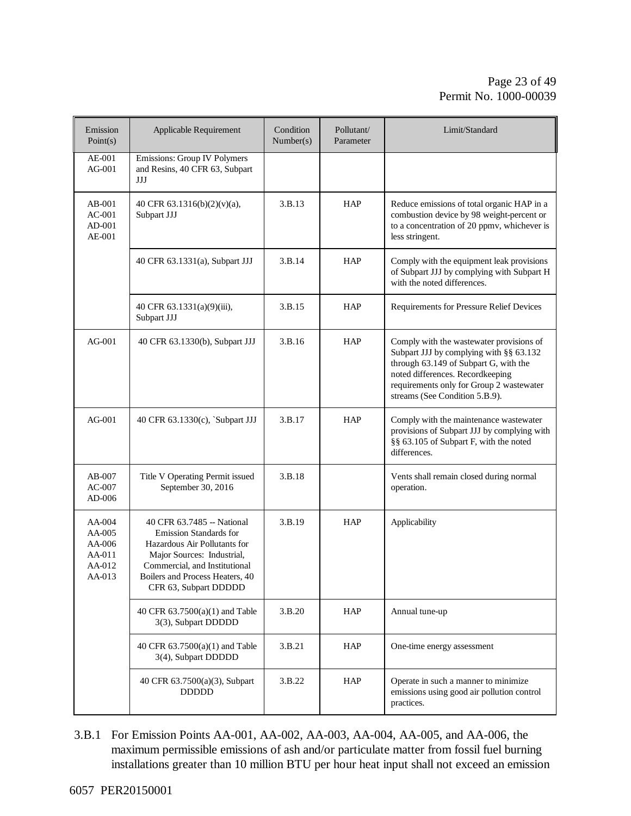#### Page 23 of 49 Permit No. 1000-00039

| Emission<br>Point(s)                                     | Applicable Requirement                                                                                                                                                                                                 | Condition<br>Number(s) | Pollutant/<br>Parameter | Limit/Standard                                                                                                                                                                                                                                 |
|----------------------------------------------------------|------------------------------------------------------------------------------------------------------------------------------------------------------------------------------------------------------------------------|------------------------|-------------------------|------------------------------------------------------------------------------------------------------------------------------------------------------------------------------------------------------------------------------------------------|
| AE-001<br>$AG-001$                                       | <b>Emissions: Group IV Polymers</b><br>and Resins, 40 CFR 63, Subpart<br>JJJ                                                                                                                                           |                        |                         |                                                                                                                                                                                                                                                |
| $AB-001$<br>$AC-001$<br>$AD-001$<br>$AE-001$             | 40 CFR 63.1316(b)(2)(v)(a),<br>Subpart JJJ                                                                                                                                                                             | 3.B.13                 | HAP                     | Reduce emissions of total organic HAP in a<br>combustion device by 98 weight-percent or<br>to a concentration of 20 ppmv, whichever is<br>less stringent.                                                                                      |
|                                                          | 40 CFR 63.1331(a), Subpart JJJ                                                                                                                                                                                         | 3.B.14                 | <b>HAP</b>              | Comply with the equipment leak provisions<br>of Subpart JJJ by complying with Subpart H<br>with the noted differences.                                                                                                                         |
|                                                          | 40 CFR $63.1331(a)(9)(iii)$ ,<br>Subpart JJJ                                                                                                                                                                           | 3.B.15                 | <b>HAP</b>              | Requirements for Pressure Relief Devices                                                                                                                                                                                                       |
| AG-001                                                   | 40 CFR 63.1330(b), Subpart JJJ                                                                                                                                                                                         | 3.B.16                 | HAP                     | Comply with the wastewater provisions of<br>Subpart JJJ by complying with §§ 63.132<br>through 63.149 of Subpart G, with the<br>noted differences. Recordkeeping<br>requirements only for Group 2 wastewater<br>streams (See Condition 5.B.9). |
| AG-001                                                   | 40 CFR 63.1330(c), `Subpart JJJ                                                                                                                                                                                        | 3.B.17                 | <b>HAP</b>              | Comply with the maintenance wastewater<br>provisions of Subpart JJJ by complying with<br>§§ 63.105 of Subpart F, with the noted<br>differences.                                                                                                |
| $AB-007$<br>$AC-007$<br>AD-006                           | Title V Operating Permit issued<br>September 30, 2016                                                                                                                                                                  | 3.B.18                 |                         | Vents shall remain closed during normal<br>operation.                                                                                                                                                                                          |
| AA-004<br>AA-005<br>AA-006<br>AA-011<br>AA-012<br>AA-013 | 40 CFR 63.7485 -- National<br><b>Emission Standards for</b><br>Hazardous Air Pollutants for<br>Major Sources: Industrial,<br>Commercial, and Institutional<br>Boilers and Process Heaters, 40<br>CFR 63, Subpart DDDDD | 3.B.19                 | HAP                     | Applicability                                                                                                                                                                                                                                  |
|                                                          | 40 CFR 63.7500(a)(1) and Table<br>3(3), Subpart DDDDD                                                                                                                                                                  | 3.B.20                 | HAP                     | Annual tune-up                                                                                                                                                                                                                                 |
|                                                          | 40 CFR 63.7500(a)(1) and Table<br>3(4), Subpart DDDDD                                                                                                                                                                  | 3.B.21                 | <b>HAP</b>              | One-time energy assessment                                                                                                                                                                                                                     |
|                                                          | 40 CFR 63.7500(a)(3), Subpart<br><b>DDDDD</b>                                                                                                                                                                          | 3.B.22                 | HAP                     | Operate in such a manner to minimize<br>emissions using good air pollution control<br>practices.                                                                                                                                               |

3.B.1 For Emission Points AA-001, AA-002, AA-003, AA-004, AA-005, and AA-006, the maximum permissible emissions of ash and/or particulate matter from fossil fuel burning installations greater than 10 million BTU per hour heat input shall not exceed an emission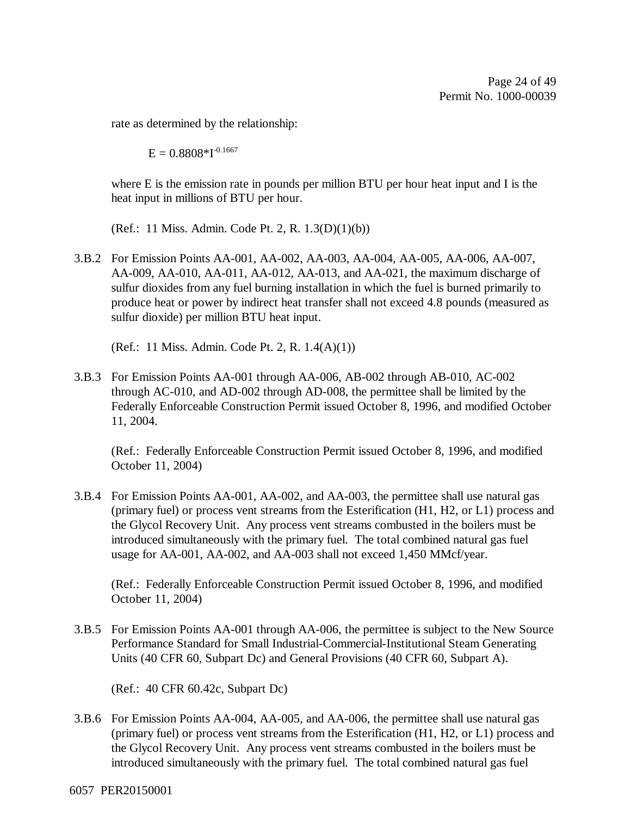rate as determined by the relationship:

 $E = 0.8808 * I^{-0.1667}$ 

where E is the emission rate in pounds per million BTU per hour heat input and I is the heat input in millions of BTU per hour.

(Ref.: 11 Miss. Admin. Code Pt. 2, R. 1.3(D)(1)(b))

3.B.2 For Emission Points AA-001, AA-002, AA-003, AA-004, AA-005, AA-006, AA-007, AA-009, AA-010, AA-011, AA-012, AA-013, and AA-021, the maximum discharge of sulfur dioxides from any fuel burning installation in which the fuel is burned primarily to produce heat or power by indirect heat transfer shall not exceed 4.8 pounds (measured as sulfur dioxide) per million BTU heat input.

(Ref.: 11 Miss. Admin. Code Pt. 2, R. 1.4(A)(1))

3.B.3 For Emission Points AA-001 through AA-006, AB-002 through AB-010, AC-002 through AC-010, and AD-002 through AD-008, the permittee shall be limited by the Federally Enforceable Construction Permit issued October 8, 1996, and modified October 11, 2004.

(Ref.: Federally Enforceable Construction Permit issued October 8, 1996, and modified October 11, 2004)

3.B.4 For Emission Points AA-001, AA-002, and AA-003, the permittee shall use natural gas (primary fuel) or process vent streams from the Esterification (H1, H2, or L1) process and the Glycol Recovery Unit. Any process vent streams combusted in the boilers must be introduced simultaneously with the primary fuel. The total combined natural gas fuel usage for AA-001, AA-002, and AA-003 shall not exceed 1,450 MMcf/year.

(Ref.: Federally Enforceable Construction Permit issued October 8, 1996, and modified October 11, 2004)

3.B.5 For Emission Points AA-001 through AA-006, the permittee is subject to the New Source Performance Standard for Small Industrial-Commercial-Institutional Steam Generating Units (40 CFR 60, Subpart Dc) and General Provisions (40 CFR 60, Subpart A).

(Ref.: 40 CFR 60.42c, Subpart Dc)

3.B.6 For Emission Points AA-004, AA-005, and AA-006, the permittee shall use natural gas (primary fuel) or process vent streams from the Esterification (H1, H2, or L1) process and the Glycol Recovery Unit. Any process vent streams combusted in the boilers must be introduced simultaneously with the primary fuel. The total combined natural gas fuel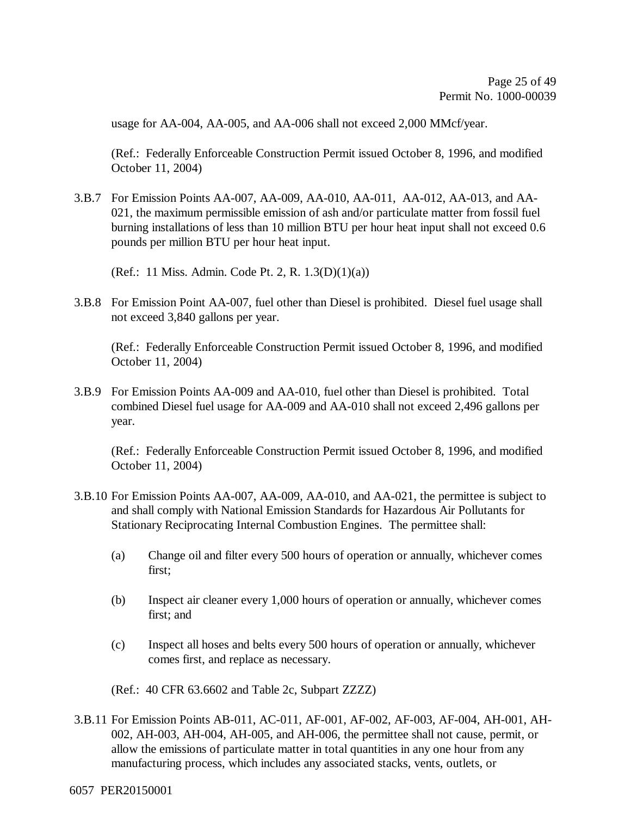usage for AA-004, AA-005, and AA-006 shall not exceed 2,000 MMcf/year.

(Ref.: Federally Enforceable Construction Permit issued October 8, 1996, and modified October 11, 2004)

3.B.7 For Emission Points AA-007, AA-009, AA-010, AA-011, AA-012, AA-013, and AA-021, the maximum permissible emission of ash and/or particulate matter from fossil fuel burning installations of less than 10 million BTU per hour heat input shall not exceed 0.6 pounds per million BTU per hour heat input.

(Ref.: 11 Miss. Admin. Code Pt. 2, R. 1.3(D)(1)(a))

3.B.8 For Emission Point AA-007, fuel other than Diesel is prohibited. Diesel fuel usage shall not exceed 3,840 gallons per year.

(Ref.: Federally Enforceable Construction Permit issued October 8, 1996, and modified October 11, 2004)

3.B.9 For Emission Points AA-009 and AA-010, fuel other than Diesel is prohibited. Total combined Diesel fuel usage for AA-009 and AA-010 shall not exceed 2,496 gallons per year.

(Ref.: Federally Enforceable Construction Permit issued October 8, 1996, and modified October 11, 2004)

- 3.B.10 For Emission Points AA-007, AA-009, AA-010, and AA-021, the permittee is subject to and shall comply with National Emission Standards for Hazardous Air Pollutants for Stationary Reciprocating Internal Combustion Engines. The permittee shall:
	- (a) Change oil and filter every 500 hours of operation or annually, whichever comes first;
	- (b) Inspect air cleaner every 1,000 hours of operation or annually, whichever comes first; and
	- (c) Inspect all hoses and belts every 500 hours of operation or annually, whichever comes first, and replace as necessary.

(Ref.: 40 CFR 63.6602 and Table 2c, Subpart ZZZZ)

3.B.11 For Emission Points AB-011, AC-011, AF-001, AF-002, AF-003, AF-004, AH-001, AH-002, AH-003, AH-004, AH-005, and AH-006, the permittee shall not cause, permit, or allow the emissions of particulate matter in total quantities in any one hour from any manufacturing process, which includes any associated stacks, vents, outlets, or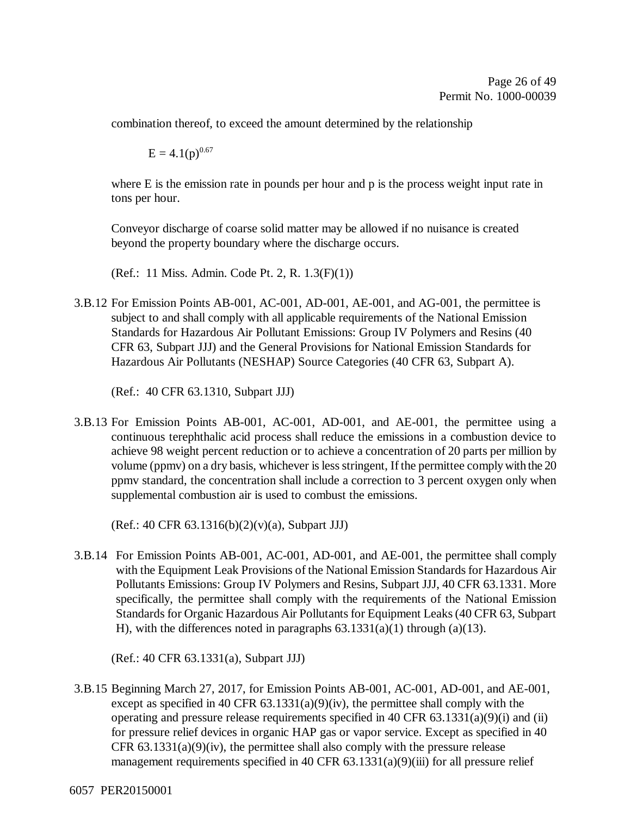combination thereof, to exceed the amount determined by the relationship

 $E = 4.1(p)^{0.67}$ 

where E is the emission rate in pounds per hour and p is the process weight input rate in tons per hour.

Conveyor discharge of coarse solid matter may be allowed if no nuisance is created beyond the property boundary where the discharge occurs.

(Ref.: 11 Miss. Admin. Code Pt. 2, R. 1.3(F)(1))

3.B.12 For Emission Points AB-001, AC-001, AD-001, AE-001, and AG-001, the permittee is subject to and shall comply with all applicable requirements of the National Emission Standards for Hazardous Air Pollutant Emissions: Group IV Polymers and Resins (40 CFR 63, Subpart JJJ) and the General Provisions for National Emission Standards for Hazardous Air Pollutants (NESHAP) Source Categories (40 CFR 63, Subpart A).

(Ref.: 40 CFR 63.1310, Subpart JJJ)

3.B.13 For Emission Points AB-001, AC-001, AD-001, and AE-001, the permittee using a continuous terephthalic acid process shall reduce the emissions in a combustion device to achieve 98 weight percent reduction or to achieve a concentration of 20 parts per million by volume (ppmv) on a dry basis, whichever is less stringent, If the permittee comply with the 20 ppmv standard, the concentration shall include a correction to 3 percent oxygen only when supplemental combustion air is used to combust the emissions.

(Ref.: 40 CFR 63.1316(b)(2)(v)(a), Subpart JJJ)

3.B.14 For Emission Points AB-001, AC-001, AD-001, and AE-001, the permittee shall comply with the Equipment Leak Provisions of the National Emission Standards for Hazardous Air Pollutants Emissions: Group IV Polymers and Resins, Subpart JJJ, 40 CFR 63.1331. More specifically, the permittee shall comply with the requirements of the National Emission Standards for Organic Hazardous Air Pollutants for Equipment Leaks (40 CFR 63, Subpart H), with the differences noted in paragraphs  $63.1331(a)(1)$  through  $(a)(13)$ .

(Ref.: 40 CFR 63.1331(a), Subpart JJJ)

3.B.15 Beginning March 27, 2017, for Emission Points AB-001, AC-001, AD-001, and AE-001, except as specified in 40 CFR  $63.1331(a)(9)(iv)$ , the permittee shall comply with the operating and pressure release requirements specified in 40 CFR 63.1331(a)(9)(i) and (ii) for pressure relief devices in organic HAP gas or vapor service. Except as specified in 40 CFR  $63.1331(a)(9)(iv)$ , the permittee shall also comply with the pressure release management requirements specified in 40 CFR 63.1331(a)(9)(iii) for all pressure relief

6057 PER20150001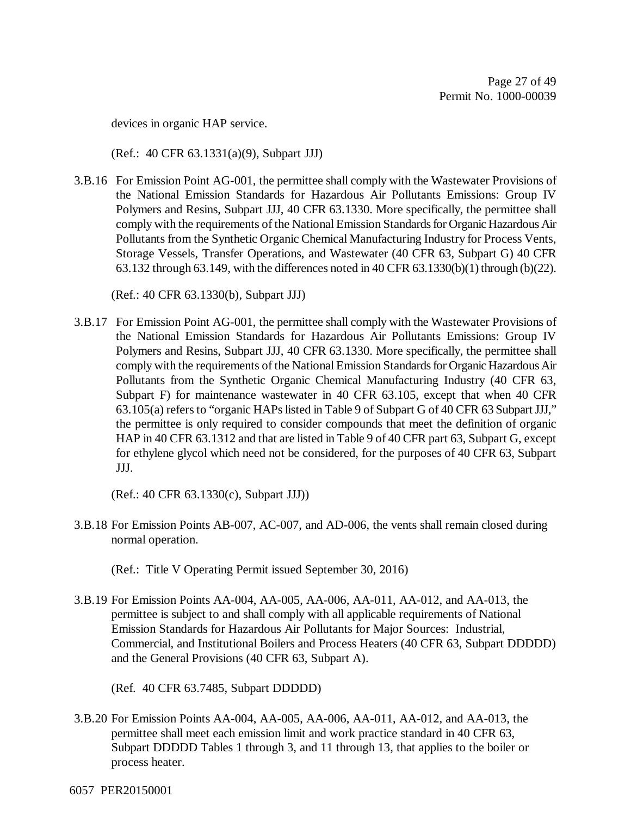devices in organic HAP service.

(Ref.: 40 CFR 63.1331(a)(9), Subpart JJJ)

3.B.16 For Emission Point AG-001, the permittee shall comply with the Wastewater Provisions of the National Emission Standards for Hazardous Air Pollutants Emissions: Group IV Polymers and Resins, Subpart JJJ, 40 CFR 63.1330. More specifically, the permittee shall comply with the requirements of the National Emission Standards for Organic Hazardous Air Pollutants from the Synthetic Organic Chemical Manufacturing Industry for Process Vents, Storage Vessels, Transfer Operations, and Wastewater (40 CFR 63, Subpart G) 40 CFR 63.132 through 63.149, with the differences noted in 40 CFR 63.1330(b)(1) through (b)(22).

(Ref.: 40 CFR 63.1330(b), Subpart JJJ)

3.B.17 For Emission Point AG-001, the permittee shall comply with the Wastewater Provisions of the National Emission Standards for Hazardous Air Pollutants Emissions: Group IV Polymers and Resins, Subpart JJJ, 40 CFR 63.1330. More specifically, the permittee shall comply with the requirements of the National Emission Standards for Organic Hazardous Air Pollutants from the Synthetic Organic Chemical Manufacturing Industry (40 CFR 63, Subpart F) for maintenance wastewater in 40 CFR 63.105, except that when 40 CFR 63.105(a) refers to "organic HAPs listed in Table 9 of Subpart G of 40 CFR 63 Subpart JJJ," the permittee is only required to consider compounds that meet the definition of organic HAP in 40 CFR 63.1312 and that are listed in Table 9 of 40 CFR part 63, Subpart G, except for ethylene glycol which need not be considered, for the purposes of 40 CFR 63, Subpart JJJ.

(Ref.: 40 CFR 63.1330(c), Subpart JJJ))

3.B.18 For Emission Points AB-007, AC-007, and AD-006, the vents shall remain closed during normal operation.

(Ref.: Title V Operating Permit issued September 30, 2016)

3.B.19 For Emission Points AA-004, AA-005, AA-006, AA-011, AA-012, and AA-013, the permittee is subject to and shall comply with all applicable requirements of National Emission Standards for Hazardous Air Pollutants for Major Sources: Industrial, Commercial, and Institutional Boilers and Process Heaters (40 CFR 63, Subpart DDDDD) and the General Provisions (40 CFR 63, Subpart A).

(Ref. 40 CFR 63.7485, Subpart DDDDD)

3.B.20 For Emission Points AA-004, AA-005, AA-006, AA-011, AA-012, and AA-013, the permittee shall meet each emission limit and work practice standard in 40 CFR 63, Subpart DDDDD Tables 1 through 3, and 11 through 13, that applies to the boiler or process heater.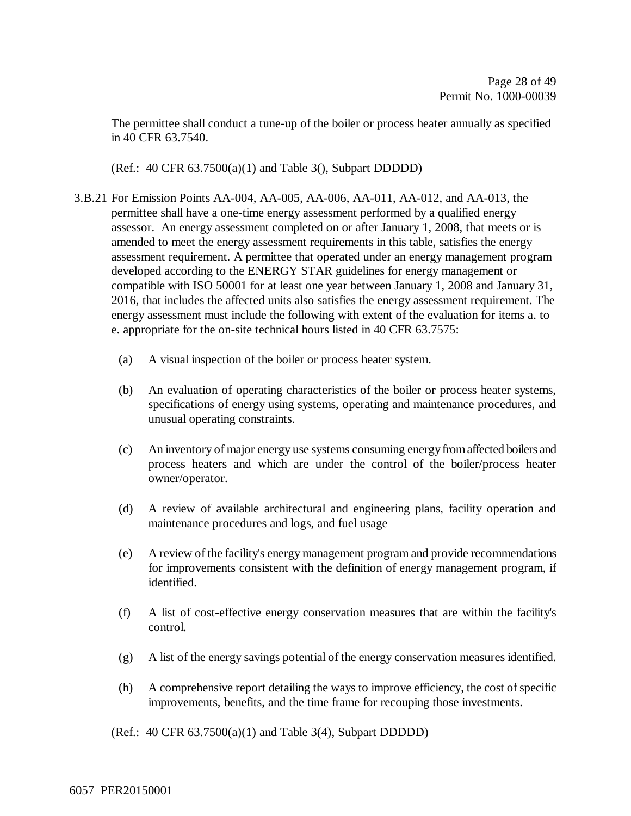The permittee shall conduct a tune-up of the boiler or process heater annually as specified in 40 CFR 63.7540.

(Ref.:  $40 \text{ CFR } 63.7500(a)(1)$  and Table 3(), Subpart DDDDD)

- 3.B.21 For Emission Points AA-004, AA-005, AA-006, AA-011, AA-012, and AA-013, the permittee shall have a one-time energy assessment performed by a qualified energy assessor. An energy assessment completed on or after January 1, 2008, that meets or is amended to meet the energy assessment requirements in this table, satisfies the energy assessment requirement. A permittee that operated under an energy management program developed according to the ENERGY STAR guidelines for energy management or compatible with ISO 50001 for at least one year between January 1, 2008 and January 31, 2016, that includes the affected units also satisfies the energy assessment requirement. The energy assessment must include the following with extent of the evaluation for items a. to e. appropriate for the on-site technical hours listed in 40 CFR 63.7575:
	- (a) A visual inspection of the boiler or process heater system.
	- (b) An evaluation of operating characteristics of the boiler or process heater systems, specifications of energy using systems, operating and maintenance procedures, and unusual operating constraints.
	- (c) An inventory of major energy use systems consuming energy from affected boilers and process heaters and which are under the control of the boiler/process heater owner/operator.
	- (d) A review of available architectural and engineering plans, facility operation and maintenance procedures and logs, and fuel usage
	- (e) A review of the facility's energy management program and provide recommendations for improvements consistent with the definition of energy management program, if identified.
	- (f) A list of cost-effective energy conservation measures that are within the facility's control.
	- (g) A list of the energy savings potential of the energy conservation measures identified.
	- (h) A comprehensive report detailing the ways to improve efficiency, the cost of specific improvements, benefits, and the time frame for recouping those investments.

(Ref.: 40 CFR 63.7500(a)(1) and Table 3(4), Subpart DDDDD)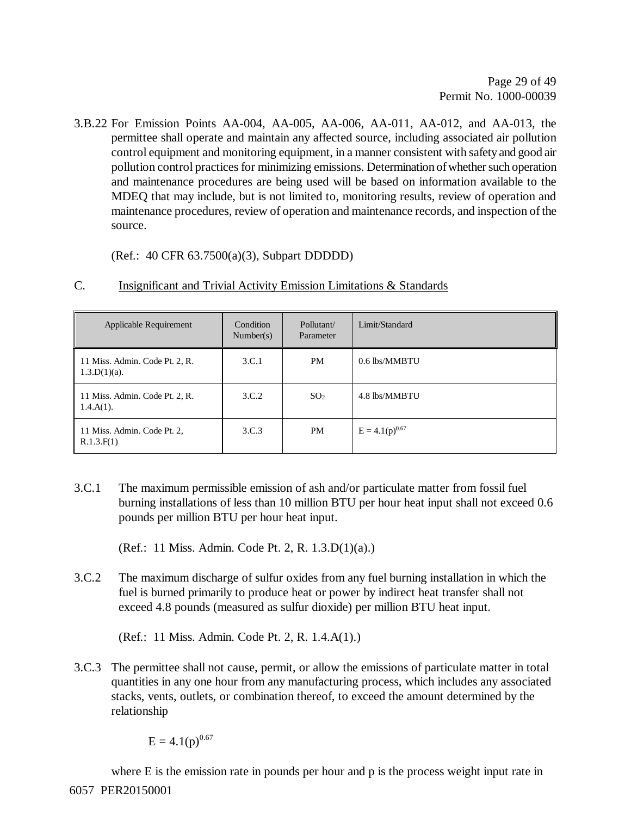3.B.22 For Emission Points AA-004, AA-005, AA-006, AA-011, AA-012, and AA-013, the permittee shall operate and maintain any affected source, including associated air pollution control equipment and monitoring equipment, in a manner consistent with safety and good air pollution control practices for minimizing emissions. Determination of whether such operation and maintenance procedures are being used will be based on information available to the MDEQ that may include, but is not limited to, monitoring results, review of operation and maintenance procedures, review of operation and maintenance records, and inspection of the source.

(Ref.: 40 CFR 63.7500(a)(3), Subpart DDDDD)

| Applicable Requirement                            | Condition<br>Number(s) | Pollutant/<br>Parameter | Limit/Standard      |
|---------------------------------------------------|------------------------|-------------------------|---------------------|
| 11 Miss. Admin. Code Pt. 2, R.<br>$1.3.D(1)(a)$ . | 3.C.1                  | <b>PM</b>               | 0.6 lbs/MMBTU       |
| 11 Miss. Admin. Code Pt. 2, R.<br>$1.4.A(1)$ .    | 3.C.2                  | SO <sub>2</sub>         | 4.8 lbs/MMBTU       |
| 11 Miss. Admin. Code Pt. 2,<br>R.1.3.F(1)         | 3.C.3                  | <b>PM</b>               | $E = 4.1(p)^{0.67}$ |

#### C. Insignificant and Trivial Activity Emission Limitations & Standards

3.C.1 The maximum permissible emission of ash and/or particulate matter from fossil fuel burning installations of less than 10 million BTU per hour heat input shall not exceed 0.6 pounds per million BTU per hour heat input.

(Ref.: 11 Miss. Admin. Code Pt. 2, R. 1.3.D(1)(a).)

3.C.2 The maximum discharge of sulfur oxides from any fuel burning installation in which the fuel is burned primarily to produce heat or power by indirect heat transfer shall not exceed 4.8 pounds (measured as sulfur dioxide) per million BTU heat input.

(Ref.: 11 Miss. Admin. Code Pt. 2, R. 1.4.A(1).)

3.C.3 The permittee shall not cause, permit, or allow the emissions of particulate matter in total quantities in any one hour from any manufacturing process, which includes any associated stacks, vents, outlets, or combination thereof, to exceed the amount determined by the relationship

 $E = 4.1(p)^{0.67}$ 

6057 PER20150001 where E is the emission rate in pounds per hour and p is the process weight input rate in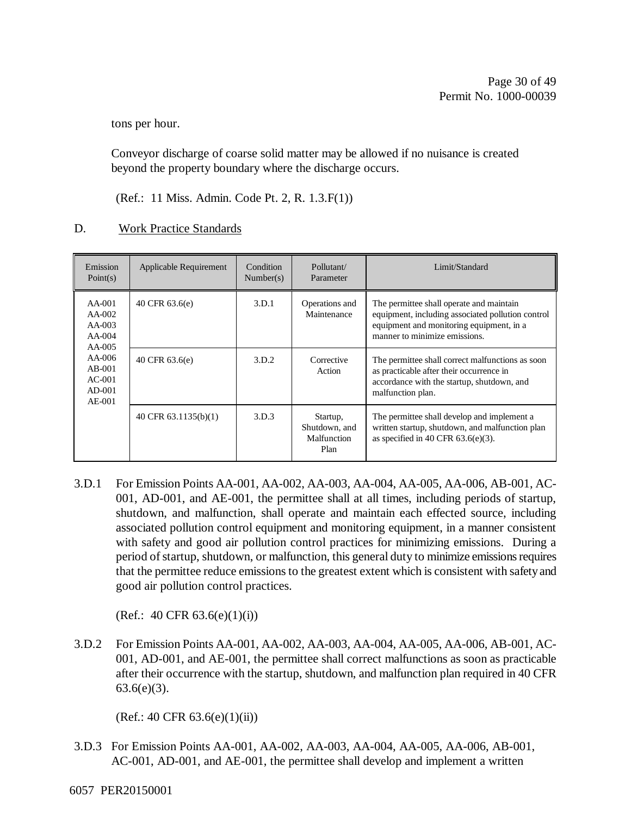tons per hour.

Conveyor discharge of coarse solid matter may be allowed if no nuisance is created beyond the property boundary where the discharge occurs.

(Ref.: 11 Miss. Admin. Code Pt. 2, R. 1.3.F(1))

#### D. Work Practice Standards

| Emission<br>Point(s)                                                                                                  | Applicable Requirement | Condition<br>Number(s) | Pollutant/<br>Parameter                          | Limit/Standard                                                                                                                                                             |
|-----------------------------------------------------------------------------------------------------------------------|------------------------|------------------------|--------------------------------------------------|----------------------------------------------------------------------------------------------------------------------------------------------------------------------------|
| $AA-001$<br>$AA-002$<br>$AA-003$<br>$AA-004$<br>$AA-005$<br>$AA-006$<br>$AB-001$<br>$AC-001$<br>$AD-001$<br>$AE$ -001 | 40 CFR 63.6(e)         | 3.D.1                  | Operations and<br>Maintenance                    | The permittee shall operate and maintain<br>equipment, including associated pollution control<br>equipment and monitoring equipment, in a<br>manner to minimize emissions. |
|                                                                                                                       | 40 CFR 63.6(e)         | 3.D.2                  | Corrective<br>Action                             | The permittee shall correct malfunctions as soon<br>as practicable after their occurrence in<br>accordance with the startup, shutdown, and<br>malfunction plan.            |
|                                                                                                                       | 40 CFR $63.1135(b)(1)$ | 3.D.3                  | Startup,<br>Shutdown, and<br>Malfunction<br>Plan | The permittee shall develop and implement a<br>written startup, shutdown, and malfunction plan<br>as specified in 40 CFR $63.6(e)(3)$ .                                    |

3.D.1 For Emission Points AA-001, AA-002, AA-003, AA-004, AA-005, AA-006, AB-001, AC-001, AD-001, and AE-001, the permittee shall at all times, including periods of startup, shutdown, and malfunction, shall operate and maintain each effected source, including associated pollution control equipment and monitoring equipment, in a manner consistent with safety and good air pollution control practices for minimizing emissions. During a period of startup, shutdown, or malfunction, this general duty to minimize emissions requires that the permittee reduce emissions to the greatest extent which is consistent with safety and good air pollution control practices.

(Ref.: 40 CFR  $63.6(e)(1)(i)$ )

3.D.2 For Emission Points AA-001, AA-002, AA-003, AA-004, AA-005, AA-006, AB-001, AC-001, AD-001, and AE-001, the permittee shall correct malfunctions as soon as practicable after their occurrence with the startup, shutdown, and malfunction plan required in 40 CFR  $63.6(e)(3)$ .

 $(Ref.: 40 CFR 63.6(e)(1)(ii))$ 

- 3.D.3 For Emission Points AA-001, AA-002, AA-003, AA-004, AA-005, AA-006, AB-001, AC-001, AD-001, and AE-001, the permittee shall develop and implement a written
- 6057 PER20150001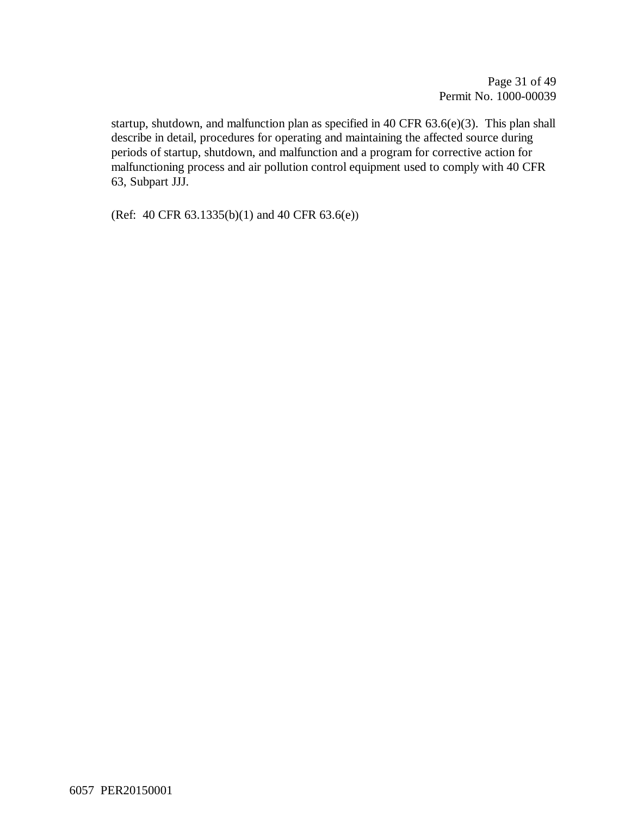Page 31 of 49 Permit No. 1000-00039

startup, shutdown, and malfunction plan as specified in 40 CFR 63.6(e)(3). This plan shall describe in detail, procedures for operating and maintaining the affected source during periods of startup, shutdown, and malfunction and a program for corrective action for malfunctioning process and air pollution control equipment used to comply with 40 CFR 63, Subpart JJJ.

(Ref: 40 CFR 63.1335(b)(1) and 40 CFR 63.6(e))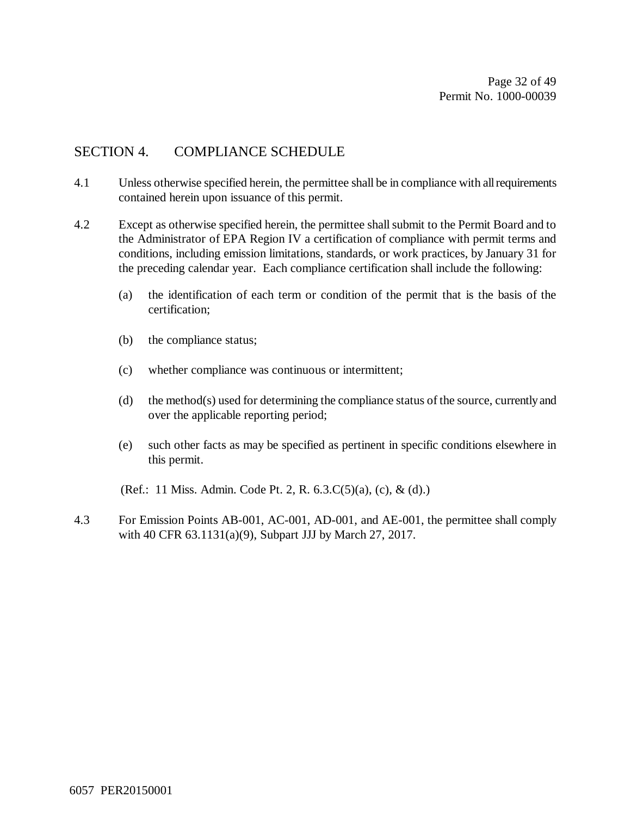Page 32 of 49 Permit No. 1000-00039

#### SECTION 4. COMPLIANCE SCHEDULE

- 4.1 Unless otherwise specified herein, the permittee shall be in compliance with all requirements contained herein upon issuance of this permit.
- 4.2 Except as otherwise specified herein, the permittee shall submit to the Permit Board and to the Administrator of EPA Region IV a certification of compliance with permit terms and conditions, including emission limitations, standards, or work practices, by January 31 for the preceding calendar year. Each compliance certification shall include the following:
	- (a) the identification of each term or condition of the permit that is the basis of the certification;
	- (b) the compliance status;
	- (c) whether compliance was continuous or intermittent;
	- (d) the method(s) used for determining the compliance status of the source, currently and over the applicable reporting period;
	- (e) such other facts as may be specified as pertinent in specific conditions elsewhere in this permit.

(Ref.: 11 Miss. Admin. Code Pt. 2, R. 6.3.C(5)(a), (c), & (d).)

4.3 For Emission Points AB-001, AC-001, AD-001, and AE-001, the permittee shall comply with 40 CFR 63.1131(a)(9), Subpart JJJ by March 27, 2017.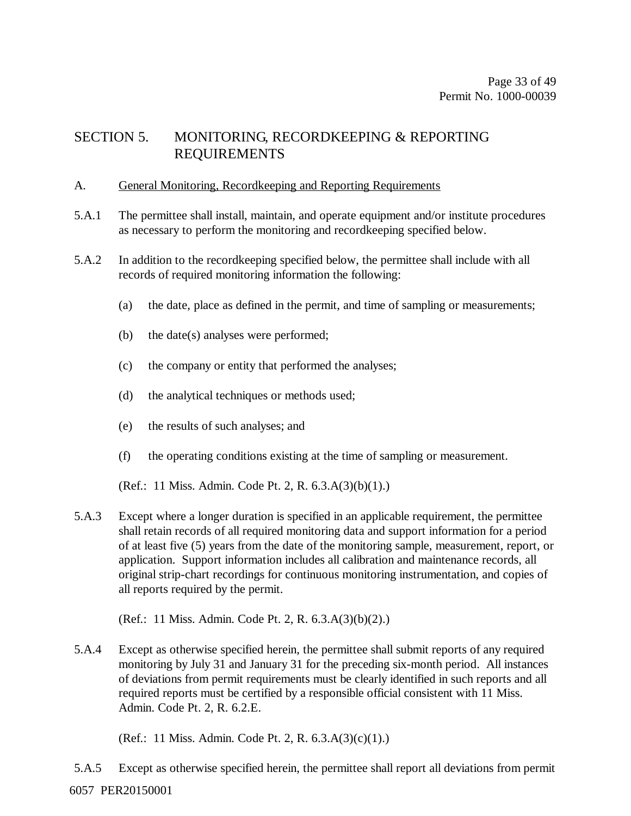### SECTION 5. MONITORING, RECORDKEEPING & REPORTING REQUIREMENTS

#### A. General Monitoring, Recordkeeping and Reporting Requirements

- 5.A.1 The permittee shall install, maintain, and operate equipment and/or institute procedures as necessary to perform the monitoring and recordkeeping specified below.
- 5.A.2 In addition to the recordkeeping specified below, the permittee shall include with all records of required monitoring information the following:
	- (a) the date, place as defined in the permit, and time of sampling or measurements;
	- (b) the date(s) analyses were performed;
	- (c) the company or entity that performed the analyses;
	- (d) the analytical techniques or methods used;
	- (e) the results of such analyses; and
	- (f) the operating conditions existing at the time of sampling or measurement.
	- (Ref.: 11 Miss. Admin. Code Pt. 2, R. 6.3.A(3)(b)(1).)
- 5.A.3 Except where a longer duration is specified in an applicable requirement, the permittee shall retain records of all required monitoring data and support information for a period of at least five (5) years from the date of the monitoring sample, measurement, report, or application. Support information includes all calibration and maintenance records, all original strip-chart recordings for continuous monitoring instrumentation, and copies of all reports required by the permit.

(Ref.: 11 Miss. Admin. Code Pt. 2, R. 6.3.A(3)(b)(2).)

5.A.4 Except as otherwise specified herein, the permittee shall submit reports of any required monitoring by July 31 and January 31 for the preceding six-month period. All instances of deviations from permit requirements must be clearly identified in such reports and all required reports must be certified by a responsible official consistent with 11 Miss. Admin. Code Pt. 2, R. 6.2.E.

(Ref.: 11 Miss. Admin. Code Pt. 2, R. 6.3.A(3)(c)(1).)

6057 PER20150001 5.A.5 Except as otherwise specified herein, the permittee shall report all deviations from permit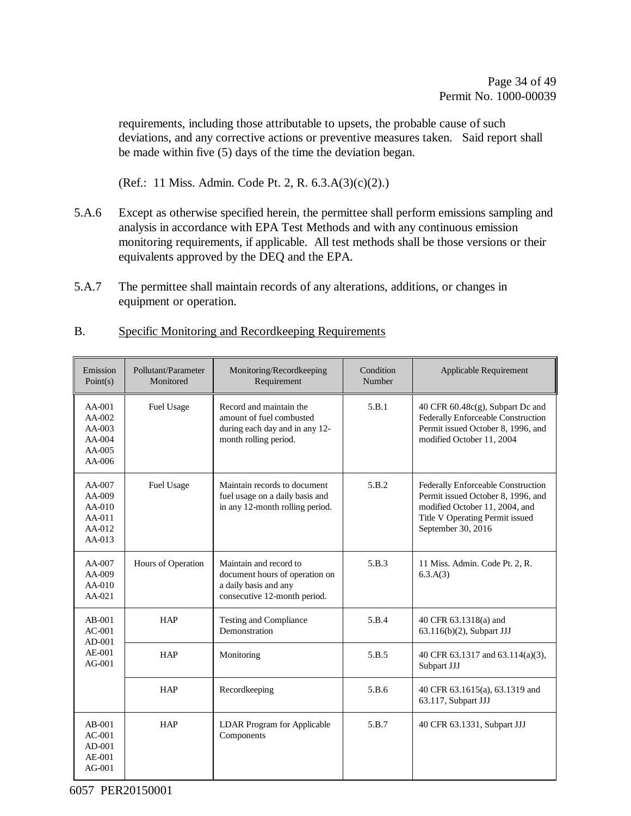requirements, including those attributable to upsets, the probable cause of such deviations, and any corrective actions or preventive measures taken. Said report shall be made within five (5) days of the time the deviation began.

(Ref.: 11 Miss. Admin. Code Pt. 2, R. 6.3.A(3)(c)(2).)

- 5.A.6 Except as otherwise specified herein, the permittee shall perform emissions sampling and analysis in accordance with EPA Test Methods and with any continuous emission monitoring requirements, if applicable. All test methods shall be those versions or their equivalents approved by the DEQ and the EPA.
- 5.A.7 The permittee shall maintain records of any alterations, additions, or changes in equipment or operation.

#### B. Specific Monitoring and Recordkeeping Requirements

| Emission<br>Point(s)                                             | Pollutant/Parameter<br>Monitored | Monitoring/Recordkeeping<br>Requirement                                                                           | Condition<br>Number | Applicable Requirement                                                                                                                                              |
|------------------------------------------------------------------|----------------------------------|-------------------------------------------------------------------------------------------------------------------|---------------------|---------------------------------------------------------------------------------------------------------------------------------------------------------------------|
| $AA-001$<br>$AA-002$<br>$AA-003$<br>$AA-004$<br>AA-005<br>AA-006 | Fuel Usage                       | Record and maintain the<br>amount of fuel combusted<br>during each day and in any 12-<br>month rolling period.    | 5.B.1               | 40 CFR $60.48c(g)$ , Subpart Dc and<br>Federally Enforceable Construction<br>Permit issued October 8, 1996, and<br>modified October 11, 2004                        |
| AA-007<br>$AA-009$<br>$AA-010$<br>$AA-011$<br>AA-012<br>$AA-013$ | Fuel Usage                       | Maintain records to document<br>fuel usage on a daily basis and<br>in any 12-month rolling period.                | 5.B.2               | Federally Enforceable Construction<br>Permit issued October 8, 1996, and<br>modified October 11, 2004, and<br>Title V Operating Permit issued<br>September 30, 2016 |
| AA-007<br>$AA-009$<br>$AA-010$<br>$AA-021$                       | Hours of Operation               | Maintain and record to<br>document hours of operation on<br>a daily basis and any<br>consecutive 12-month period. | 5.B.3               | 11 Miss. Admin. Code Pt. 2, R.<br>6.3.A(3)                                                                                                                          |
| $AB-001$<br>$AC-001$<br>$AD-001$                                 | <b>HAP</b>                       | <b>Testing and Compliance</b><br>Demonstration                                                                    | 5.B.4               | 40 CFR 63.1318(a) and<br>63.116(b)(2), Subpart JJJ                                                                                                                  |
| $AE-001$<br>$AG-001$                                             | <b>HAP</b>                       | Monitoring                                                                                                        | 5.B.5               | 40 CFR 63.1317 and 63.114(a)(3),<br>Subpart JJJ                                                                                                                     |
|                                                                  | <b>HAP</b>                       | Recordkeeping                                                                                                     | 5.B.6               | 40 CFR 63.1615(a), 63.1319 and<br>63.117, Subpart JJJ                                                                                                               |
| $AB-001$<br>$AC-001$<br>$AD-001$<br>AE-001<br>$AG-001$           | <b>HAP</b>                       | LDAR Program for Applicable<br>Components                                                                         | 5.B.7               | 40 CFR 63.1331, Subpart JJJ                                                                                                                                         |

6057 PER20150001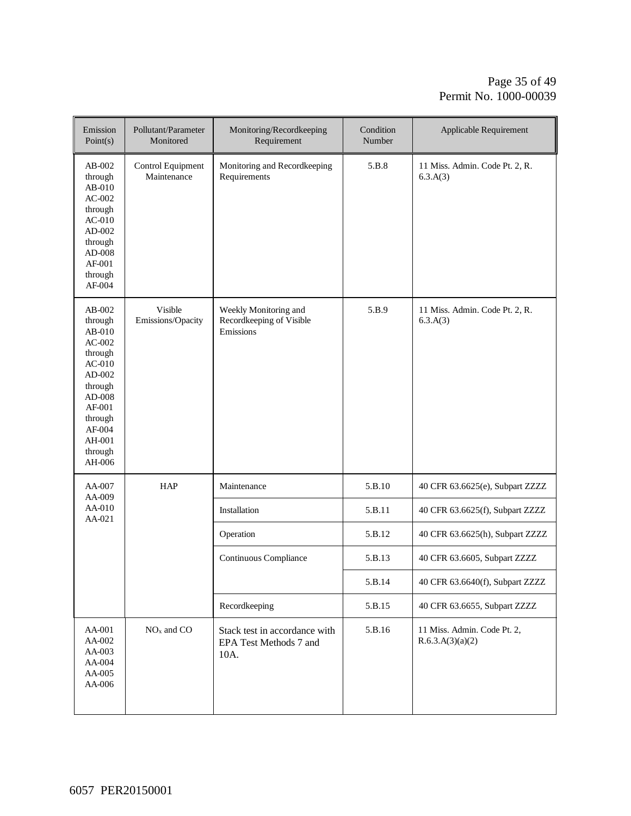#### Page 35 of 49 Permit No. 1000-00039

| Emission<br>Point(s)                                                                                                                                              | Pollutant/Parameter<br>Monitored | Monitoring/Recordkeeping<br>Requirement                         | Condition<br>Number | Applicable Requirement                          |
|-------------------------------------------------------------------------------------------------------------------------------------------------------------------|----------------------------------|-----------------------------------------------------------------|---------------------|-------------------------------------------------|
| $AB-002$<br>through<br>$AB-010$<br>$AC-002$<br>through<br>$AC-010$<br>$AD-002$<br>through<br>AD-008<br>AF-001<br>through<br>AF-004                                | Control Equipment<br>Maintenance | Monitoring and Recordkeeping<br>Requirements                    | 5.B.8               | 11 Miss. Admin. Code Pt. 2, R.<br>6.3.A(3)      |
| $AB-002$<br>through<br>$AB-010$<br>$AC-002$<br>through<br>$AC-010$<br>AD-002<br>through<br>$AD-008$<br>AF-001<br>through<br>AF-004<br>AH-001<br>through<br>AH-006 | Visible<br>Emissions/Opacity     | Weekly Monitoring and<br>Recordkeeping of Visible<br>Emissions  | 5.B.9               | 11 Miss. Admin. Code Pt. 2, R.<br>6.3.A(3)      |
| AA-007<br>AA-009                                                                                                                                                  | <b>HAP</b>                       | Maintenance                                                     | 5.B.10              | 40 CFR 63.6625(e), Subpart ZZZZ                 |
| AA-010<br>AA-021                                                                                                                                                  |                                  | Installation                                                    | 5.B.11              | 40 CFR 63.6625(f), Subpart ZZZZ                 |
|                                                                                                                                                                   |                                  | Operation                                                       | 5.B.12              | 40 CFR 63.6625(h), Subpart ZZZZ                 |
|                                                                                                                                                                   |                                  | Continuous Compliance                                           | 5.B.13              | 40 CFR 63.6605, Subpart ZZZZ                    |
|                                                                                                                                                                   |                                  |                                                                 | 5.B.14              | 40 CFR 63.6640(f), Subpart ZZZZ                 |
|                                                                                                                                                                   |                                  | Recordkeeping                                                   | 5.B.15              | 40 CFR 63.6655, Subpart ZZZZ                    |
| AA-001<br>AA-002<br>AA-003<br>AA-004<br>AA-005<br>AA-006                                                                                                          | $NOx$ and $CO$                   | Stack test in accordance with<br>EPA Test Methods 7 and<br>10A. | 5.B.16              | 11 Miss. Admin. Code Pt. 2,<br>R.6.3.A(3)(a)(2) |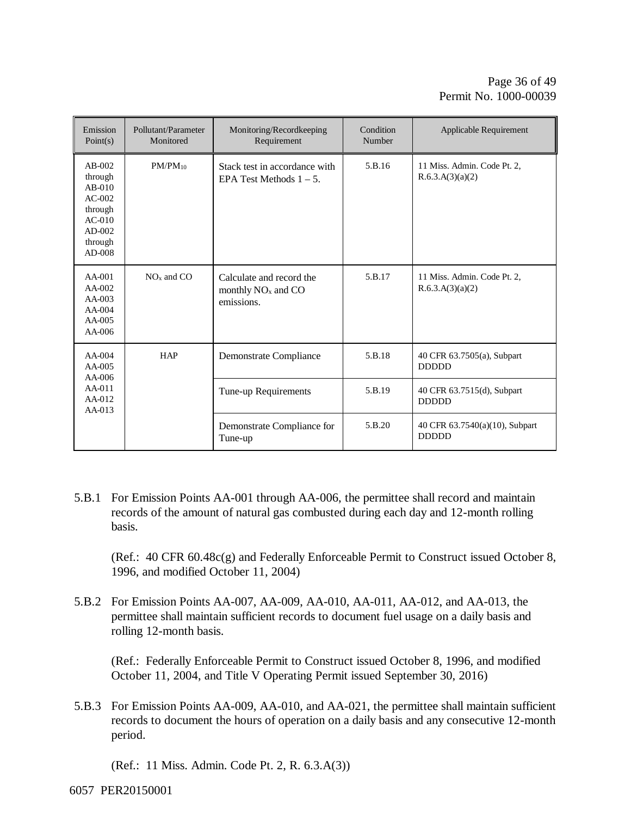| Emission<br>Point(s)                                                                                | Pollutant/Parameter<br>Monitored      | Monitoring/Recordkeeping<br>Requirement                          | Condition<br>Number | <b>Applicable Requirement</b>                   |
|-----------------------------------------------------------------------------------------------------|---------------------------------------|------------------------------------------------------------------|---------------------|-------------------------------------------------|
| $AB-002$<br>through<br>$AB-010$<br>$AC-002$<br>through<br>$AC-010$<br>$AD-002$<br>through<br>AD-008 | $PM/PM_{10}$                          | Stack test in accordance with<br>EPA Test Methods $1 - 5$ .      | 5.B.16              | 11 Miss. Admin. Code Pt. 2.<br>R.6.3.A(3)(a)(2) |
| $AA-001$<br>$AA-002$<br>$AA-003$<br>$AA-004$<br>$AA-005$<br>$AA-006$                                | $NOx$ and $CO$                        | Calculate and record the<br>monthly $NOx$ and $CO$<br>emissions. | 5.B.17              | 11 Miss. Admin. Code Pt. 2.<br>R.6.3.A(3)(a)(2) |
| $AA-004$<br>AA-005<br>$AA-006$                                                                      | <b>HAP</b>                            | Demonstrate Compliance                                           | 5.B.18              | 40 CFR 63.7505(a), Subpart<br><b>DDDDD</b>      |
| $AA-011$<br>$AA-012$<br>$AA-013$                                                                    |                                       | Tune-up Requirements                                             | 5.B.19              | 40 CFR 63.7515(d), Subpart<br><b>DDDDD</b>      |
|                                                                                                     | Demonstrate Compliance for<br>Tune-up |                                                                  | 5.B.20              | 40 CFR 63.7540(a)(10), Subpart<br><b>DDDDD</b>  |

5.B.1 For Emission Points AA-001 through AA-006, the permittee shall record and maintain records of the amount of natural gas combusted during each day and 12-month rolling basis.

(Ref.: 40 CFR 60.48c(g) and Federally Enforceable Permit to Construct issued October 8, 1996, and modified October 11, 2004)

5.B.2 For Emission Points AA-007, AA-009, AA-010, AA-011, AA-012, and AA-013, the permittee shall maintain sufficient records to document fuel usage on a daily basis and rolling 12-month basis.

(Ref.: Federally Enforceable Permit to Construct issued October 8, 1996, and modified October 11, 2004, and Title V Operating Permit issued September 30, 2016)

5.B.3 For Emission Points AA-009, AA-010, and AA-021, the permittee shall maintain sufficient records to document the hours of operation on a daily basis and any consecutive 12-month period.

(Ref.: 11 Miss. Admin. Code Pt. 2, R. 6.3.A(3))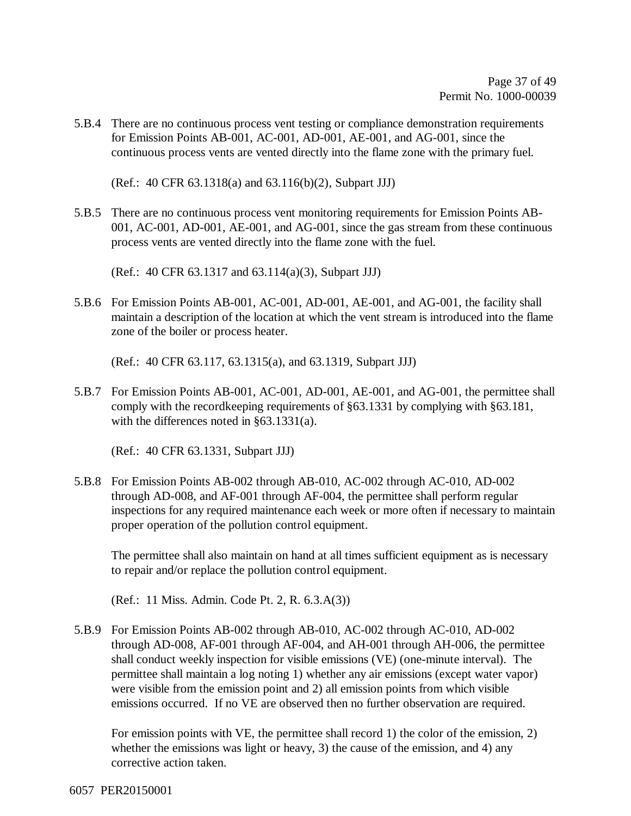5.B.4 There are no continuous process vent testing or compliance demonstration requirements for Emission Points AB-001, AC-001, AD-001, AE-001, and AG-001, since the continuous process vents are vented directly into the flame zone with the primary fuel.

(Ref.: 40 CFR 63.1318(a) and 63.116(b)(2), Subpart JJJ)

5.B.5 There are no continuous process vent monitoring requirements for Emission Points AB-001, AC-001, AD-001, AE-001, and AG-001, since the gas stream from these continuous process vents are vented directly into the flame zone with the fuel.

(Ref.: 40 CFR 63.1317 and 63.114(a)(3), Subpart JJJ)

5.B.6 For Emission Points AB-001, AC-001, AD-001, AE-001, and AG-001, the facility shall maintain a description of the location at which the vent stream is introduced into the flame zone of the boiler or process heater.

(Ref.: 40 CFR 63.117, 63.1315(a), and 63.1319, Subpart JJJ)

5.B.7 For Emission Points AB-001, AC-001, AD-001, AE-001, and AG-001, the permittee shall comply with the recordkeeping requirements of §63.1331 by complying with §63.181, with the differences noted in §63.1331(a).

(Ref.: 40 CFR 63.1331, Subpart JJJ)

5.B.8 For Emission Points AB-002 through AB-010, AC-002 through AC-010, AD-002 through AD-008, and AF-001 through AF-004, the permittee shall perform regular inspections for any required maintenance each week or more often if necessary to maintain proper operation of the pollution control equipment.

The permittee shall also maintain on hand at all times sufficient equipment as is necessary to repair and/or replace the pollution control equipment.

(Ref.: 11 Miss. Admin. Code Pt. 2, R. 6.3.A(3))

5.B.9 For Emission Points AB-002 through AB-010, AC-002 through AC-010, AD-002 through AD-008, AF-001 through AF-004, and AH-001 through AH-006, the permittee shall conduct weekly inspection for visible emissions (VE) (one-minute interval). The permittee shall maintain a log noting 1) whether any air emissions (except water vapor) were visible from the emission point and 2) all emission points from which visible emissions occurred. If no VE are observed then no further observation are required.

For emission points with VE, the permittee shall record 1) the color of the emission, 2) whether the emissions was light or heavy, 3) the cause of the emission, and 4) any corrective action taken.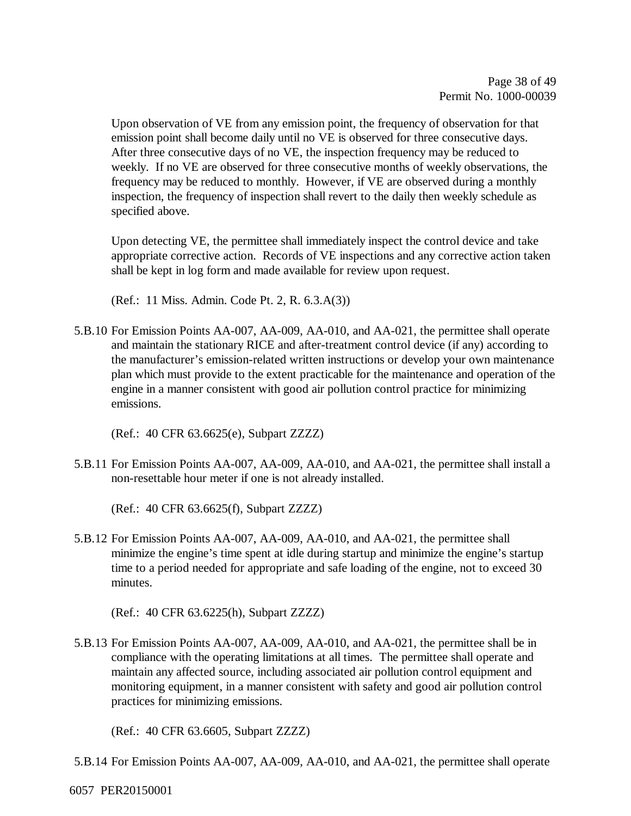Upon observation of VE from any emission point, the frequency of observation for that emission point shall become daily until no VE is observed for three consecutive days. After three consecutive days of no VE, the inspection frequency may be reduced to weekly. If no VE are observed for three consecutive months of weekly observations, the frequency may be reduced to monthly. However, if VE are observed during a monthly inspection, the frequency of inspection shall revert to the daily then weekly schedule as specified above.

Upon detecting VE, the permittee shall immediately inspect the control device and take appropriate corrective action. Records of VE inspections and any corrective action taken shall be kept in log form and made available for review upon request.

(Ref.: 11 Miss. Admin. Code Pt. 2, R. 6.3.A(3))

5.B.10 For Emission Points AA-007, AA-009, AA-010, and AA-021, the permittee shall operate and maintain the stationary RICE and after-treatment control device (if any) according to the manufacturer's emission-related written instructions or develop your own maintenance plan which must provide to the extent practicable for the maintenance and operation of the engine in a manner consistent with good air pollution control practice for minimizing emissions.

(Ref.: 40 CFR 63.6625(e), Subpart ZZZZ)

5.B.11 For Emission Points AA-007, AA-009, AA-010, and AA-021, the permittee shall install a non-resettable hour meter if one is not already installed.

(Ref.: 40 CFR 63.6625(f), Subpart ZZZZ)

5.B.12 For Emission Points AA-007, AA-009, AA-010, and AA-021, the permittee shall minimize the engine's time spent at idle during startup and minimize the engine's startup time to a period needed for appropriate and safe loading of the engine, not to exceed 30 minutes.

(Ref.: 40 CFR 63.6225(h), Subpart ZZZZ)

5.B.13 For Emission Points AA-007, AA-009, AA-010, and AA-021, the permittee shall be in compliance with the operating limitations at all times. The permittee shall operate and maintain any affected source, including associated air pollution control equipment and monitoring equipment, in a manner consistent with safety and good air pollution control practices for minimizing emissions.

(Ref.: 40 CFR 63.6605, Subpart ZZZZ)

5.B.14 For Emission Points AA-007, AA-009, AA-010, and AA-021, the permittee shall operate

6057 PER20150001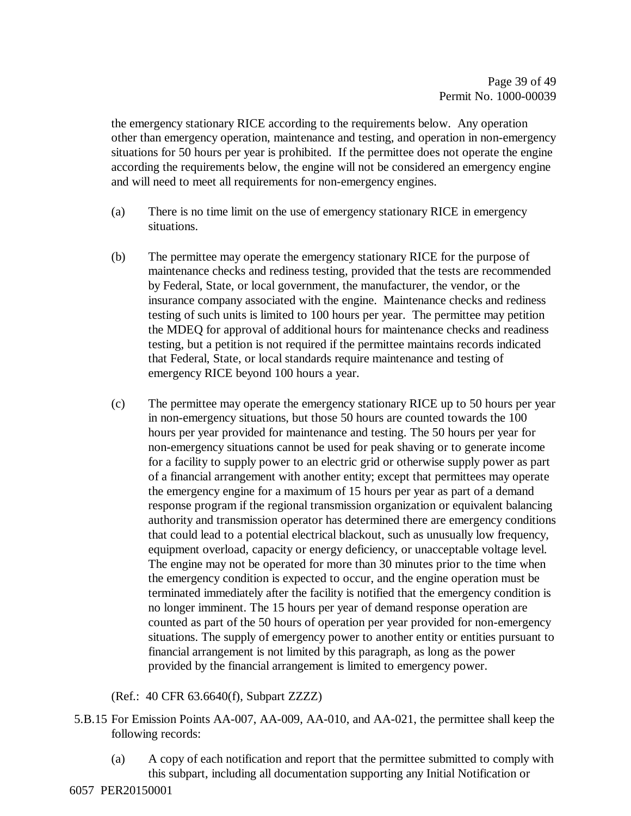the emergency stationary RICE according to the requirements below. Any operation other than emergency operation, maintenance and testing, and operation in non-emergency situations for 50 hours per year is prohibited. If the permittee does not operate the engine according the requirements below, the engine will not be considered an emergency engine and will need to meet all requirements for non-emergency engines.

- (a) There is no time limit on the use of emergency stationary RICE in emergency situations.
- (b) The permittee may operate the emergency stationary RICE for the purpose of maintenance checks and rediness testing, provided that the tests are recommended by Federal, State, or local government, the manufacturer, the vendor, or the insurance company associated with the engine. Maintenance checks and rediness testing of such units is limited to 100 hours per year. The permittee may petition the MDEQ for approval of additional hours for maintenance checks and readiness testing, but a petition is not required if the permittee maintains records indicated that Federal, State, or local standards require maintenance and testing of emergency RICE beyond 100 hours a year.
- (c) The permittee may operate the emergency stationary RICE up to 50 hours per year in non-emergency situations, but those 50 hours are counted towards the 100 hours per year provided for maintenance and testing. The 50 hours per year for non-emergency situations cannot be used for peak shaving or to generate income for a facility to supply power to an electric grid or otherwise supply power as part of a financial arrangement with another entity; except that permittees may operate the emergency engine for a maximum of 15 hours per year as part of a demand response program if the regional transmission organization or equivalent balancing authority and transmission operator has determined there are emergency conditions that could lead to a potential electrical blackout, such as unusually low frequency, equipment overload, capacity or energy deficiency, or unacceptable voltage level. The engine may not be operated for more than 30 minutes prior to the time when the emergency condition is expected to occur, and the engine operation must be terminated immediately after the facility is notified that the emergency condition is no longer imminent. The 15 hours per year of demand response operation are counted as part of the 50 hours of operation per year provided for non-emergency situations. The supply of emergency power to another entity or entities pursuant to financial arrangement is not limited by this paragraph, as long as the power provided by the financial arrangement is limited to emergency power.

#### (Ref.: 40 CFR 63.6640(f), Subpart ZZZZ)

- 5.B.15 For Emission Points AA-007, AA-009, AA-010, and AA-021, the permittee shall keep the following records:
	- (a) A copy of each notification and report that the permittee submitted to comply with this subpart, including all documentation supporting any Initial Notification or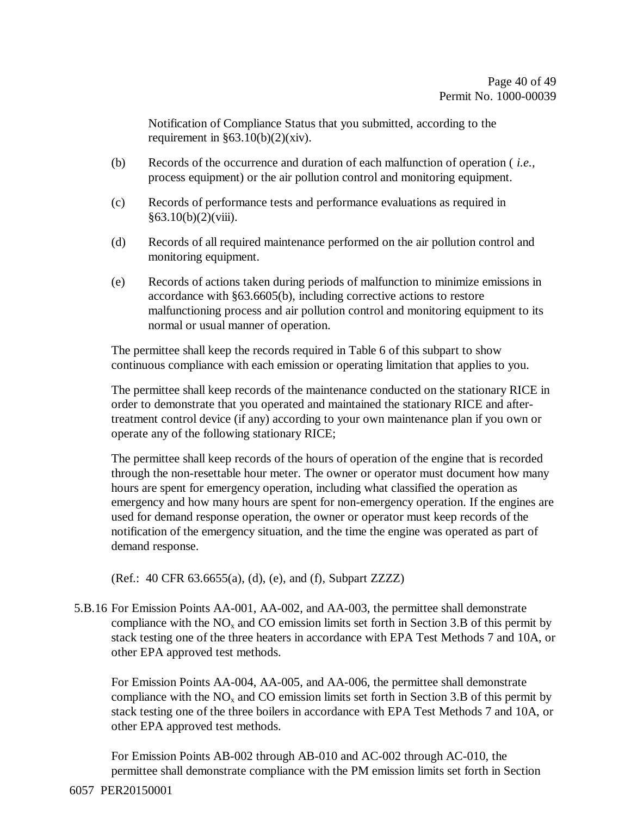Notification of Compliance Status that you submitted, according to the requirement in  $\S 63.10(b)(2)(xiv)$ .

- (b) Records of the occurrence and duration of each malfunction of operation ( *i.e.,*  process equipment) or the air pollution control and monitoring equipment.
- (c) Records of performance tests and performance evaluations as required in  $§63.10(b)(2)(viii).$
- (d) Records of all required maintenance performed on the air pollution control and monitoring equipment.
- (e) Records of actions taken during periods of malfunction to minimize emissions in accordance with §63.6605(b), including corrective actions to restore malfunctioning process and air pollution control and monitoring equipment to its normal or usual manner of operation.

The permittee shall keep the records required in Table 6 of this subpart to show continuous compliance with each emission or operating limitation that applies to you.

The permittee shall keep records of the maintenance conducted on the stationary RICE in order to demonstrate that you operated and maintained the stationary RICE and aftertreatment control device (if any) according to your own maintenance plan if you own or operate any of the following stationary RICE;

The permittee shall keep records of the hours of operation of the engine that is recorded through the non-resettable hour meter. The owner or operator must document how many hours are spent for emergency operation, including what classified the operation as emergency and how many hours are spent for non-emergency operation. If the engines are used for demand response operation, the owner or operator must keep records of the notification of the emergency situation, and the time the engine was operated as part of demand response.

(Ref.: 40 CFR 63.6655(a), (d), (e), and (f), Subpart ZZZZ)

5.B.16 For Emission Points AA-001, AA-002, and AA-003, the permittee shall demonstrate compliance with the  $NO<sub>x</sub>$  and CO emission limits set forth in Section 3.B of this permit by stack testing one of the three heaters in accordance with EPA Test Methods 7 and 10A, or other EPA approved test methods.

For Emission Points AA-004, AA-005, and AA-006, the permittee shall demonstrate compliance with the  $NO<sub>x</sub>$  and CO emission limits set forth in Section 3.B of this permit by stack testing one of the three boilers in accordance with EPA Test Methods 7 and 10A, or other EPA approved test methods.

For Emission Points AB-002 through AB-010 and AC-002 through AC-010, the permittee shall demonstrate compliance with the PM emission limits set forth in Section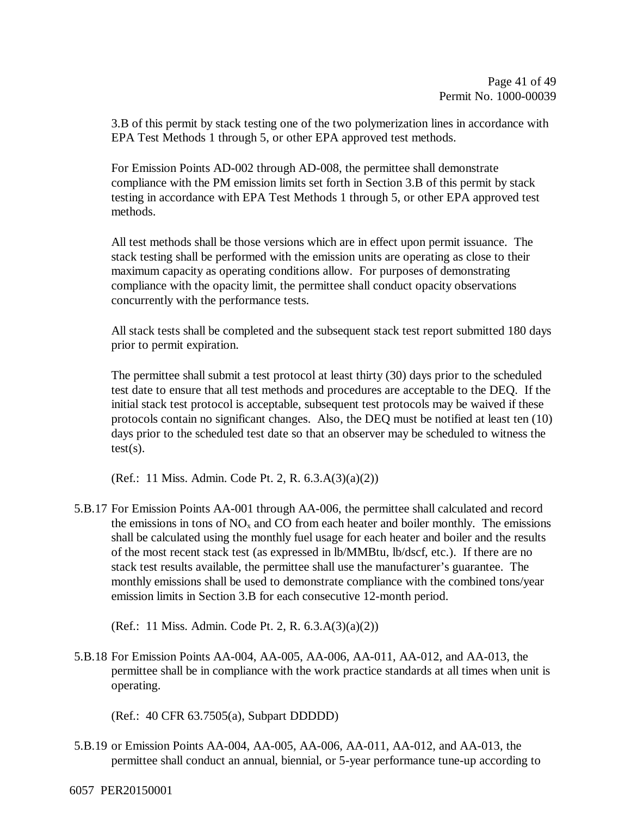3.B of this permit by stack testing one of the two polymerization lines in accordance with EPA Test Methods 1 through 5, or other EPA approved test methods.

For Emission Points AD-002 through AD-008, the permittee shall demonstrate compliance with the PM emission limits set forth in Section 3.B of this permit by stack testing in accordance with EPA Test Methods 1 through 5, or other EPA approved test methods.

All test methods shall be those versions which are in effect upon permit issuance. The stack testing shall be performed with the emission units are operating as close to their maximum capacity as operating conditions allow. For purposes of demonstrating compliance with the opacity limit, the permittee shall conduct opacity observations concurrently with the performance tests.

All stack tests shall be completed and the subsequent stack test report submitted 180 days prior to permit expiration.

The permittee shall submit a test protocol at least thirty (30) days prior to the scheduled test date to ensure that all test methods and procedures are acceptable to the DEQ. If the initial stack test protocol is acceptable, subsequent test protocols may be waived if these protocols contain no significant changes. Also, the DEQ must be notified at least ten (10) days prior to the scheduled test date so that an observer may be scheduled to witness the  $test(s)$ .

(Ref.: 11 Miss. Admin. Code Pt. 2, R. 6.3.A(3)(a)(2))

- 5.B.17 For Emission Points AA-001 through AA-006, the permittee shall calculated and record the emissions in tons of  $NO<sub>x</sub>$  and CO from each heater and boiler monthly. The emissions shall be calculated using the monthly fuel usage for each heater and boiler and the results of the most recent stack test (as expressed in lb/MMBtu, lb/dscf, etc.). If there are no stack test results available, the permittee shall use the manufacturer's guarantee. The monthly emissions shall be used to demonstrate compliance with the combined tons/year emission limits in Section 3.B for each consecutive 12-month period.
	- (Ref.: 11 Miss. Admin. Code Pt. 2, R. 6.3.A(3)(a)(2))
- 5.B.18 For Emission Points AA-004, AA-005, AA-006, AA-011, AA-012, and AA-013, the permittee shall be in compliance with the work practice standards at all times when unit is operating.

(Ref.: 40 CFR 63.7505(a), Subpart DDDDD)

- 5.B.19 or Emission Points AA-004, AA-005, AA-006, AA-011, AA-012, and AA-013, the permittee shall conduct an annual, biennial, or 5-year performance tune-up according to
- 6057 PER20150001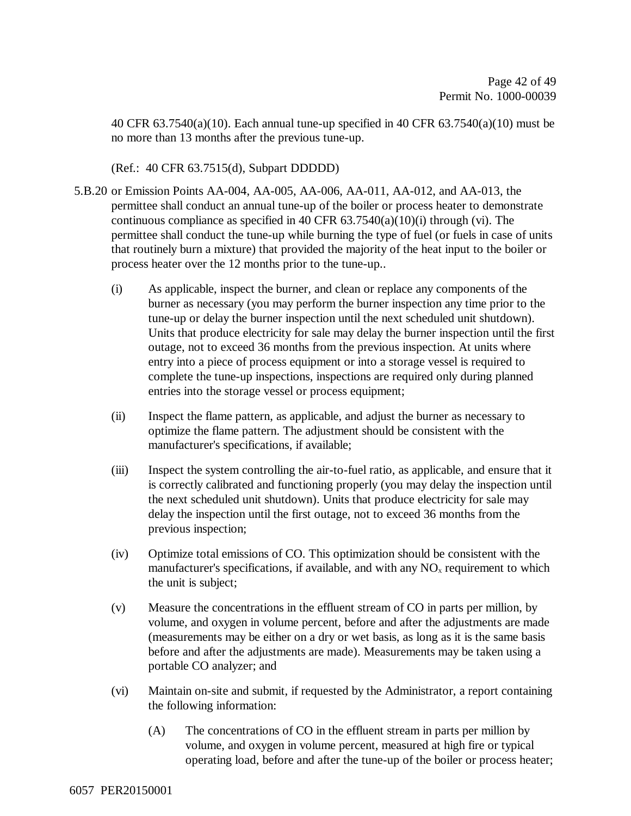40 CFR 63.7540(a)(10). Each annual tune-up specified in 40 CFR 63.7540(a)(10) must be no more than 13 months after the previous tune-up.

(Ref.: 40 CFR 63.7515(d), Subpart DDDDD)

- 5.B.20 or Emission Points AA-004, AA-005, AA-006, AA-011, AA-012, and AA-013, the permittee shall conduct an annual tune-up of the boiler or process heater to demonstrate continuous compliance as specified in 40 CFR  $63.7540(a)(10)(i)$  through (vi). The permittee shall conduct the tune-up while burning the type of fuel (or fuels in case of units that routinely burn a mixture) that provided the majority of the heat input to the boiler or process heater over the 12 months prior to the tune-up..
	- (i) As applicable, inspect the burner, and clean or replace any components of the burner as necessary (you may perform the burner inspection any time prior to the tune-up or delay the burner inspection until the next scheduled unit shutdown). Units that produce electricity for sale may delay the burner inspection until the first outage, not to exceed 36 months from the previous inspection. At units where entry into a piece of process equipment or into a storage vessel is required to complete the tune-up inspections, inspections are required only during planned entries into the storage vessel or process equipment;
	- (ii) Inspect the flame pattern, as applicable, and adjust the burner as necessary to optimize the flame pattern. The adjustment should be consistent with the manufacturer's specifications, if available;
	- (iii) Inspect the system controlling the air-to-fuel ratio, as applicable, and ensure that it is correctly calibrated and functioning properly (you may delay the inspection until the next scheduled unit shutdown). Units that produce electricity for sale may delay the inspection until the first outage, not to exceed 36 months from the previous inspection;
	- (iv) Optimize total emissions of CO. This optimization should be consistent with the manufacturer's specifications, if available, and with any  $NO<sub>x</sub>$  requirement to which the unit is subject;
	- (v) Measure the concentrations in the effluent stream of CO in parts per million, by volume, and oxygen in volume percent, before and after the adjustments are made (measurements may be either on a dry or wet basis, as long as it is the same basis before and after the adjustments are made). Measurements may be taken using a portable CO analyzer; and
	- (vi) Maintain on-site and submit, if requested by the Administrator, a report containing the following information:
		- (A) The concentrations of CO in the effluent stream in parts per million by volume, and oxygen in volume percent, measured at high fire or typical operating load, before and after the tune-up of the boiler or process heater;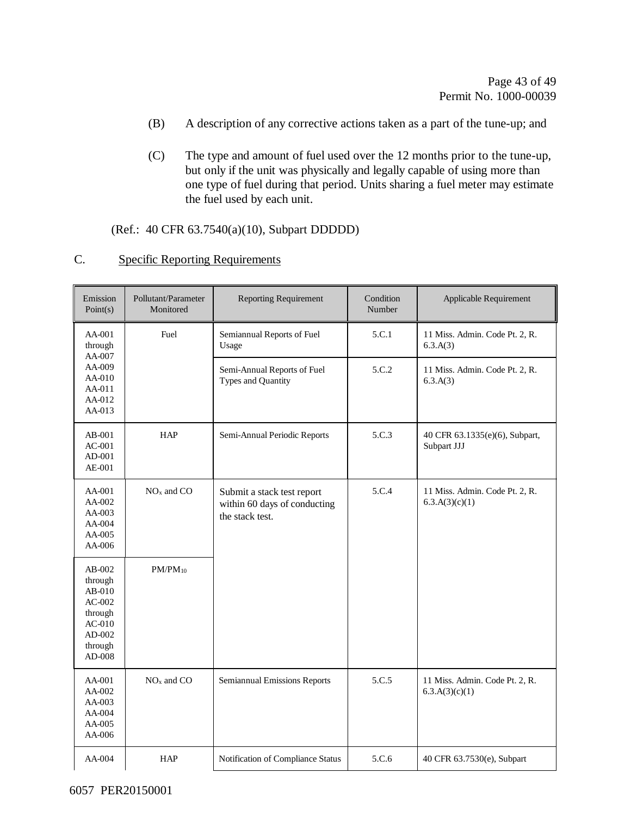- (B) A description of any corrective actions taken as a part of the tune-up; and
- (C) The type and amount of fuel used over the 12 months prior to the tune-up, but only if the unit was physically and legally capable of using more than one type of fuel during that period. Units sharing a fuel meter may estimate the fuel used by each unit.

(Ref.: 40 CFR 63.7540(a)(10), Subpart DDDDD)

| $\sqrt{ }$<br>◟. |  | <b>Specific Reporting Requirements</b> |
|------------------|--|----------------------------------------|
|                  |  |                                        |

| Emission<br>Point(s)                                                                            | Pollutant/Parameter<br>Monitored | <b>Reporting Requirement</b>                                                  | Condition<br>Number | Applicable Requirement                           |
|-------------------------------------------------------------------------------------------------|----------------------------------|-------------------------------------------------------------------------------|---------------------|--------------------------------------------------|
| AA-001<br>through<br>AA-007                                                                     | Fuel                             | Semiannual Reports of Fuel<br>Usage                                           | 5.C.1               | 11 Miss. Admin. Code Pt. 2, R.<br>6.3.A(3)       |
| AA-009<br>AA-010<br>AA-011<br>AA-012<br>AA-013                                                  |                                  | Semi-Annual Reports of Fuel<br>Types and Quantity                             | 5.C.2               | 11 Miss. Admin. Code Pt. 2, R.<br>6.3.A(3)       |
| AB-001<br>$AC-001$<br>$AD-001$<br>AE-001                                                        | <b>HAP</b>                       | Semi-Annual Periodic Reports                                                  | 5.C.3               | 40 CFR 63.1335(e)(6), Subpart,<br>Subpart JJJ    |
| AA-001<br>AA-002<br>AA-003<br>AA-004<br>AA-005<br>AA-006                                        | $NOx$ and $CO$                   | Submit a stack test report<br>within 60 days of conducting<br>the stack test. | 5.C.4               | 11 Miss. Admin. Code Pt. 2, R.<br>6.3.A(3)(c)(1) |
| AB-002<br>through<br>$AB-010$<br>$AC-002$<br>through<br>$AC-010$<br>AD-002<br>through<br>AD-008 | $PM/PM_{10}$                     |                                                                               |                     |                                                  |
| AA-001<br>AA-002<br>AA-003<br>AA-004<br>AA-005<br>AA-006                                        | $NOx$ and $CO$                   | Semiannual Emissions Reports                                                  | 5.C.5               | 11 Miss. Admin. Code Pt. 2, R.<br>6.3.A(3)(c)(1) |
| AA-004                                                                                          | <b>HAP</b>                       | Notification of Compliance Status                                             | 5.C.6               | 40 CFR 63.7530(e), Subpart                       |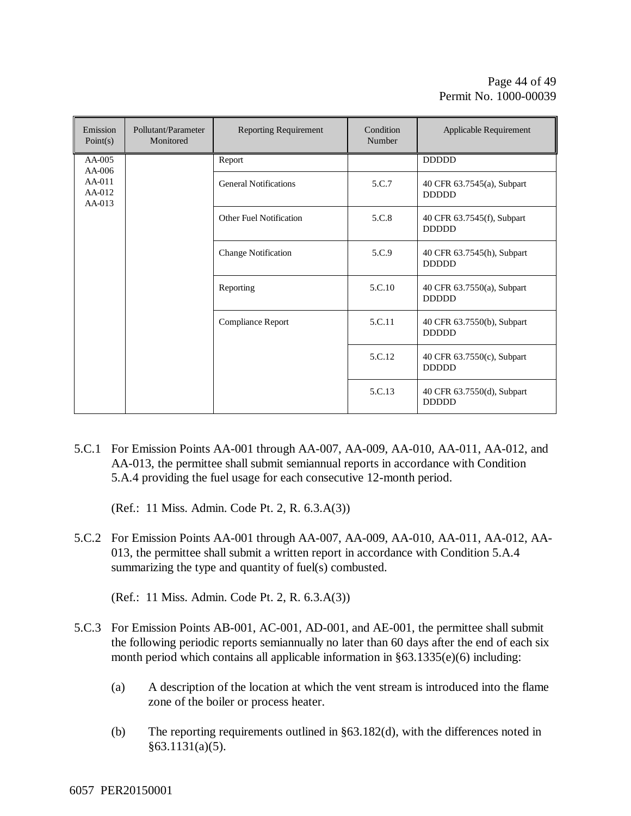| Emission<br>Point(s)         | Pollutant/Parameter<br>Monitored | <b>Reporting Requirement</b> | Condition<br>Number | Applicable Requirement                     |
|------------------------------|----------------------------------|------------------------------|---------------------|--------------------------------------------|
| AA-005<br>$AA-006$           |                                  | Report                       |                     | <b>DDDDD</b>                               |
| AA-011<br>AA-012<br>$AA-013$ |                                  | <b>General Notifications</b> | 5.C.7               | 40 CFR 63.7545(a), Subpart<br><b>DDDDD</b> |
|                              |                                  | Other Fuel Notification      | 5.C.8               | 40 CFR 63.7545(f), Subpart<br><b>DDDDD</b> |
|                              |                                  | <b>Change Notification</b>   | 5.C.9               | 40 CFR 63.7545(h), Subpart<br><b>DDDDD</b> |
|                              |                                  | Reporting                    | 5.C.10              | 40 CFR 63.7550(a), Subpart<br><b>DDDDD</b> |
|                              |                                  | Compliance Report            | 5.C.11              | 40 CFR 63.7550(b), Subpart<br><b>DDDDD</b> |
|                              |                                  |                              | 5.C.12              | 40 CFR 63.7550(c), Subpart<br><b>DDDDD</b> |
|                              |                                  |                              | 5.C.13              | 40 CFR 63.7550(d), Subpart<br><b>DDDDD</b> |

5.C.1 For Emission Points AA-001 through AA-007, AA-009, AA-010, AA-011, AA-012, and AA-013, the permittee shall submit semiannual reports in accordance with Condition 5.A.4 providing the fuel usage for each consecutive 12-month period.

(Ref.: 11 Miss. Admin. Code Pt. 2, R. 6.3.A(3))

5.C.2 For Emission Points AA-001 through AA-007, AA-009, AA-010, AA-011, AA-012, AA-013, the permittee shall submit a written report in accordance with Condition 5.A.4 summarizing the type and quantity of fuel(s) combusted.

(Ref.: 11 Miss. Admin. Code Pt. 2, R. 6.3.A(3))

- 5.C.3 For Emission Points AB-001, AC-001, AD-001, and AE-001, the permittee shall submit the following periodic reports semiannually no later than 60 days after the end of each six month period which contains all applicable information in §63.1335(e)(6) including:
	- (a) A description of the location at which the vent stream is introduced into the flame zone of the boiler or process heater.
	- (b) The reporting requirements outlined in §63.182(d), with the differences noted in  $§63.1131(a)(5).$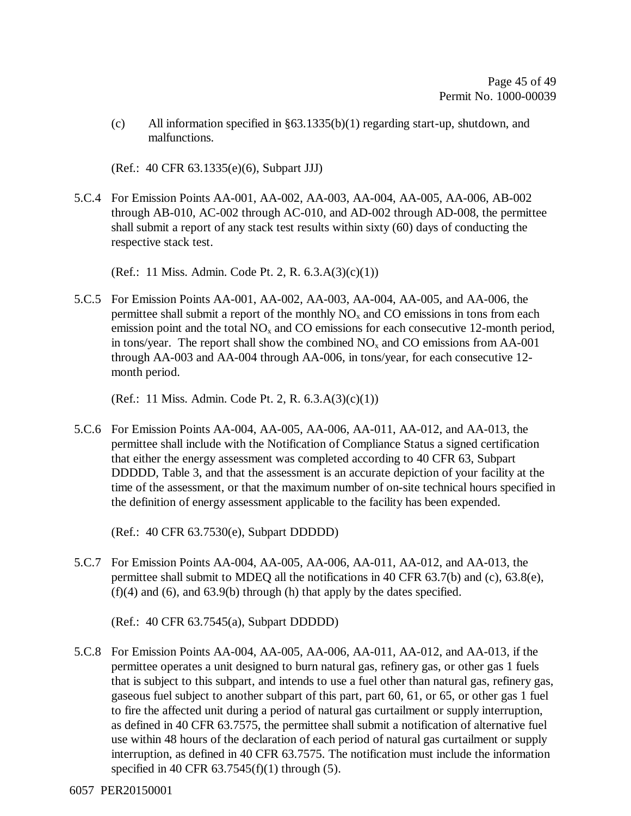(c) All information specified in §63.1335(b)(1) regarding start-up, shutdown, and malfunctions.

(Ref.: 40 CFR 63.1335(e)(6), Subpart JJJ)

5.C.4 For Emission Points AA-001, AA-002, AA-003, AA-004, AA-005, AA-006, AB-002 through AB-010, AC-002 through AC-010, and AD-002 through AD-008, the permittee shall submit a report of any stack test results within sixty (60) days of conducting the respective stack test.

(Ref.: 11 Miss. Admin. Code Pt. 2, R. 6.3.A(3)(c)(1))

5.C.5 For Emission Points AA-001, AA-002, AA-003, AA-004, AA-005, and AA-006, the permittee shall submit a report of the monthly  $NO<sub>x</sub>$  and CO emissions in tons from each emission point and the total  $NO<sub>x</sub>$  and CO emissions for each consecutive 12-month period, in tons/year. The report shall show the combined  $NO<sub>x</sub>$  and CO emissions from AA-001 through AA-003 and AA-004 through AA-006, in tons/year, for each consecutive 12 month period.

(Ref.: 11 Miss. Admin. Code Pt. 2, R. 6.3.A(3)(c)(1))

5.C.6 For Emission Points AA-004, AA-005, AA-006, AA-011, AA-012, and AA-013, the permittee shall include with the Notification of Compliance Status a signed certification that either the energy assessment was completed according to 40 CFR 63, Subpart DDDDD, Table 3, and that the assessment is an accurate depiction of your facility at the time of the assessment, or that the maximum number of on-site technical hours specified in the definition of energy assessment applicable to the facility has been expended.

(Ref.: 40 CFR 63.7530(e), Subpart DDDDD)

5.C.7 For Emission Points AA-004, AA-005, AA-006, AA-011, AA-012, and AA-013, the permittee shall submit to MDEQ all the notifications in 40 CFR 63.7(b) and (c), 63.8(e),  $(f)(4)$  and  $(6)$ , and  $(63.9(b)$  through  $(h)$  that apply by the dates specified.

(Ref.: 40 CFR 63.7545(a), Subpart DDDDD)

5.C.8 For Emission Points AA-004, AA-005, AA-006, AA-011, AA-012, and AA-013, if the permittee operates a unit designed to burn natural gas, refinery gas, or other gas 1 fuels that is subject to this subpart, and intends to use a fuel other than natural gas, refinery gas, gaseous fuel subject to another subpart of this part, part 60, 61, or 65, or other gas 1 fuel to fire the affected unit during a period of natural gas curtailment or supply interruption, as defined in 40 CFR 63.7575, the permittee shall submit a notification of alternative fuel use within 48 hours of the declaration of each period of natural gas curtailment or supply interruption, as defined in 40 CFR 63.7575. The notification must include the information specified in 40 CFR  $63.7545(f)(1)$  through  $(5)$ .

6057 PER20150001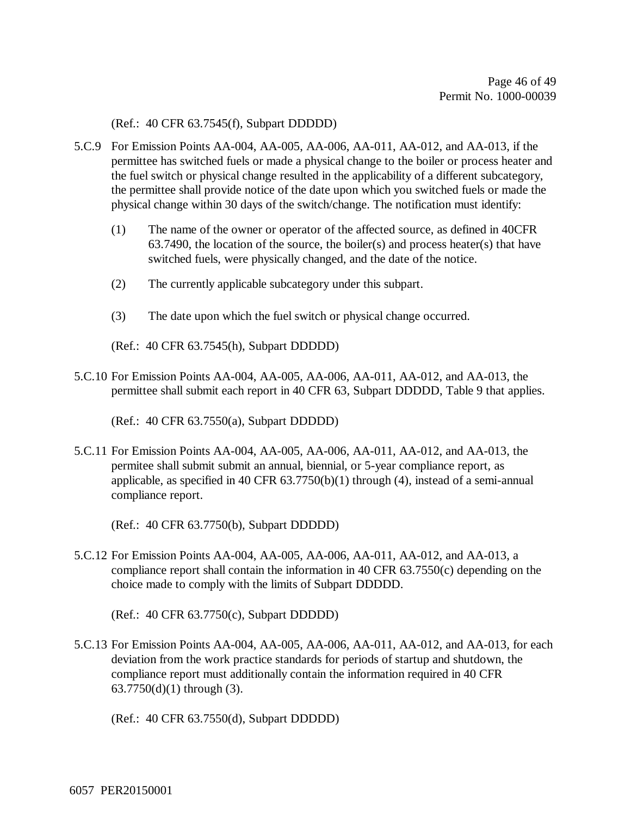(Ref.: 40 CFR 63.7545(f), Subpart DDDDD)

- 5.C.9 For Emission Points AA-004, AA-005, AA-006, AA-011, AA-012, and AA-013, if the permittee has switched fuels or made a physical change to the boiler or process heater and the fuel switch or physical change resulted in the applicability of a different subcategory, the permittee shall provide notice of the date upon which you switched fuels or made the physical change within 30 days of the switch/change. The notification must identify:
	- (1) The name of the owner or operator of the affected source, as defined in 40CFR 63.7490, the location of the source, the boiler(s) and process heater(s) that have switched fuels, were physically changed, and the date of the notice.
	- (2) The currently applicable subcategory under this subpart.
	- (3) The date upon which the fuel switch or physical change occurred.
	- (Ref.: 40 CFR 63.7545(h), Subpart DDDDD)
- 5.C.10 For Emission Points AA-004, AA-005, AA-006, AA-011, AA-012, and AA-013, the permittee shall submit each report in 40 CFR 63, Subpart DDDDD, Table 9 that applies.

(Ref.: 40 CFR 63.7550(a), Subpart DDDDD)

5.C.11 For Emission Points AA-004, AA-005, AA-006, AA-011, AA-012, and AA-013, the permitee shall submit submit an annual, biennial, or 5-year compliance report, as applicable, as specified in 40 CFR  $63.7750(b)(1)$  through (4), instead of a semi-annual compliance report.

(Ref.: 40 CFR 63.7750(b), Subpart DDDDD)

5.C.12 For Emission Points AA-004, AA-005, AA-006, AA-011, AA-012, and AA-013, a compliance report shall contain the information in 40 CFR 63.7550(c) depending on the choice made to comply with the limits of Subpart DDDDD.

(Ref.: 40 CFR 63.7750(c), Subpart DDDDD)

5.C.13 For Emission Points AA-004, AA-005, AA-006, AA-011, AA-012, and AA-013, for each deviation from the work practice standards for periods of startup and shutdown, the compliance report must additionally contain the information required in 40 CFR 63.7750(d)(1) through (3).

(Ref.: 40 CFR 63.7550(d), Subpart DDDDD)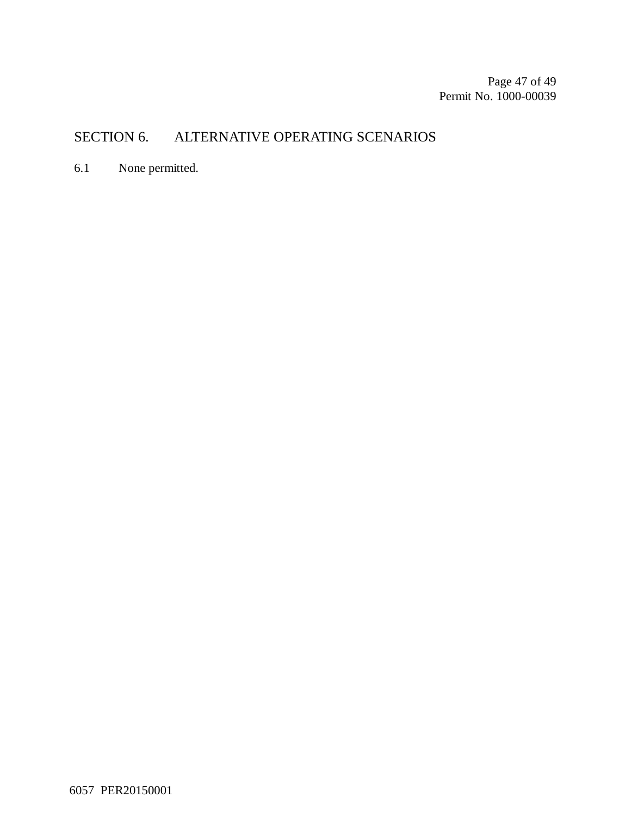Page 47 of 49 Permit No. 1000-00039

### SECTION 6. ALTERNATIVE OPERATING SCENARIOS

6.1 None permitted.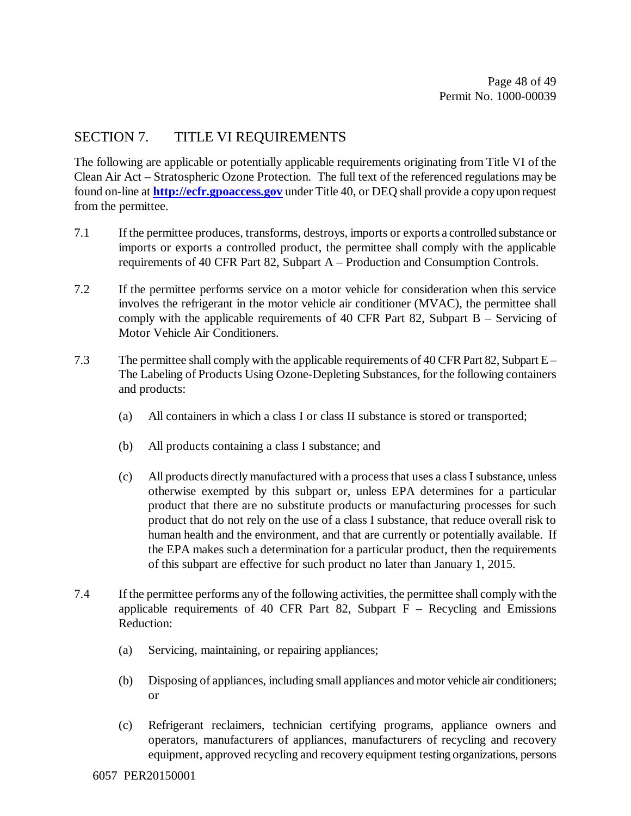#### SECTION 7. TITLE VI REQUIREMENTS

The following are applicable or potentially applicable requirements originating from Title VI of the Clean Air Act – Stratospheric Ozone Protection. The full text of the referenced regulations may be found on-line at **http://ecfr.gpoaccess.gov** under Title 40, or DEQ shall provide a copy upon request from the permittee.

- 7.1 If the permittee produces, transforms, destroys, imports or exports a controlled substance or imports or exports a controlled product, the permittee shall comply with the applicable requirements of 40 CFR Part 82, Subpart A – Production and Consumption Controls.
- 7.2 If the permittee performs service on a motor vehicle for consideration when this service involves the refrigerant in the motor vehicle air conditioner (MVAC), the permittee shall comply with the applicable requirements of 40 CFR Part 82, Subpart B – Servicing of Motor Vehicle Air Conditioners.
- 7.3 The permittee shall comply with the applicable requirements of 40 CFR Part 82, Subpart E The Labeling of Products Using Ozone-Depleting Substances, for the following containers and products:
	- (a) All containers in which a class I or class II substance is stored or transported;
	- (b) All products containing a class I substance; and
	- (c) All products directly manufactured with a process that uses a class I substance, unless otherwise exempted by this subpart or, unless EPA determines for a particular product that there are no substitute products or manufacturing processes for such product that do not rely on the use of a class I substance, that reduce overall risk to human health and the environment, and that are currently or potentially available. If the EPA makes such a determination for a particular product, then the requirements of this subpart are effective for such product no later than January 1, 2015.
- 7.4 If the permittee performs any of the following activities, the permittee shall comply with the applicable requirements of 40 CFR Part 82, Subpart  $F -$  Recycling and Emissions Reduction:
	- (a) Servicing, maintaining, or repairing appliances;
	- (b) Disposing of appliances, including small appliances and motor vehicle air conditioners; or
	- (c) Refrigerant reclaimers, technician certifying programs, appliance owners and operators, manufacturers of appliances, manufacturers of recycling and recovery equipment, approved recycling and recovery equipment testing organizations, persons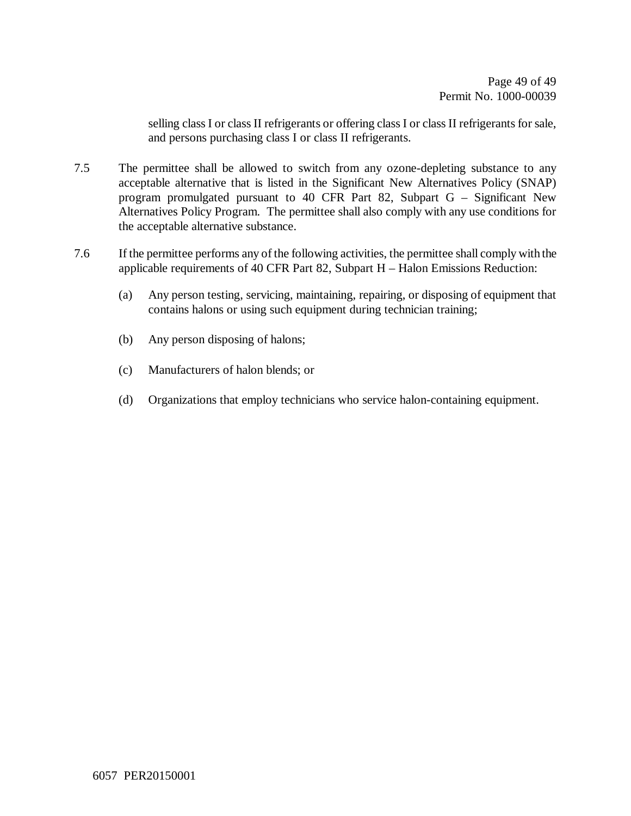selling class I or class II refrigerants or offering class I or class II refrigerants for sale, and persons purchasing class I or class II refrigerants.

- 7.5 The permittee shall be allowed to switch from any ozone-depleting substance to any acceptable alternative that is listed in the Significant New Alternatives Policy (SNAP) program promulgated pursuant to 40 CFR Part 82, Subpart G – Significant New Alternatives Policy Program. The permittee shall also comply with any use conditions for the acceptable alternative substance.
- 7.6 If the permittee performs any of the following activities, the permittee shall comply with the applicable requirements of 40 CFR Part 82, Subpart H – Halon Emissions Reduction:
	- (a) Any person testing, servicing, maintaining, repairing, or disposing of equipment that contains halons or using such equipment during technician training;
	- (b) Any person disposing of halons;
	- (c) Manufacturers of halon blends; or
	- (d) Organizations that employ technicians who service halon-containing equipment.